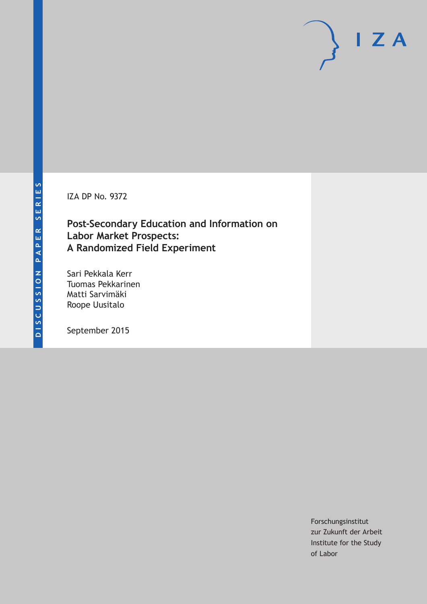IZA DP No. 9372

# **Post-Secondary Education and Information on Labor Market Prospects: A Randomized Field Experiment**

Sari Pekkala Kerr Tuomas Pekkarinen Matti Sarvimäki Roope Uusitalo

September 2015

Forschungsinstitut zur Zukunft der Arbeit Institute for the Study of Labor

 $I Z A$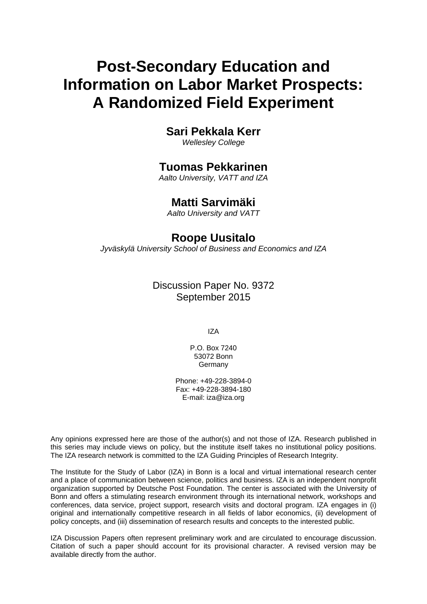# **Post-Secondary Education and Information on Labor Market Prospects: A Randomized Field Experiment**

# **Sari Pekkala Kerr**

*Wellesley College* 

# **Tuomas Pekkarinen**

*Aalto University, VATT and IZA* 

# **Matti Sarvimäki**

*Aalto University and VATT*

# **Roope Uusitalo**

*Jyväskylä University School of Business and Economics and IZA*

## Discussion Paper No. 9372 September 2015

IZA

P.O. Box 7240 53072 Bonn **Germany** 

Phone: +49-228-3894-0 Fax: +49-228-3894-180 E-mail: iza@iza.org

Any opinions expressed here are those of the author(s) and not those of IZA. Research published in this series may include views on policy, but the institute itself takes no institutional policy positions. The IZA research network is committed to the IZA Guiding Principles of Research Integrity.

The Institute for the Study of Labor (IZA) in Bonn is a local and virtual international research center and a place of communication between science, politics and business. IZA is an independent nonprofit organization supported by Deutsche Post Foundation. The center is associated with the University of Bonn and offers a stimulating research environment through its international network, workshops and conferences, data service, project support, research visits and doctoral program. IZA engages in (i) original and internationally competitive research in all fields of labor economics, (ii) development of policy concepts, and (iii) dissemination of research results and concepts to the interested public.

IZA Discussion Papers often represent preliminary work and are circulated to encourage discussion. Citation of such a paper should account for its provisional character. A revised version may be available directly from the author.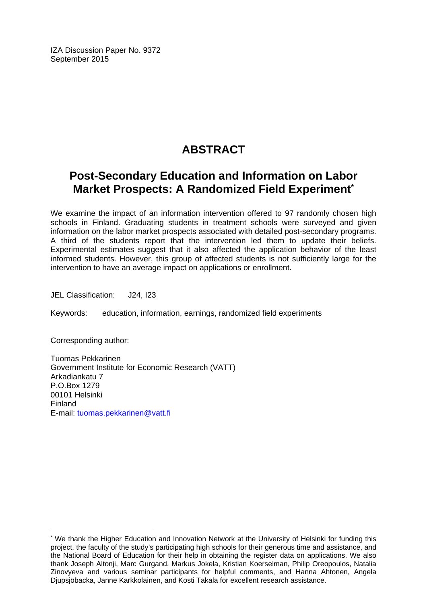IZA Discussion Paper No. 9372 September 2015

# **ABSTRACT**

# **Post-Secondary Education and Information on Labor Market Prospects: A Randomized Field Experiment\***

We examine the impact of an information intervention offered to 97 randomly chosen high schools in Finland. Graduating students in treatment schools were surveyed and given information on the labor market prospects associated with detailed post-secondary programs. A third of the students report that the intervention led them to update their beliefs. Experimental estimates suggest that it also affected the application behavior of the least informed students. However, this group of affected students is not sufficiently large for the intervention to have an average impact on applications or enrollment.

JEL Classification: J24, I23

Keywords: education, information, earnings, randomized field experiments

Corresponding author:

 $\overline{a}$ 

Tuomas Pekkarinen Government Institute for Economic Research (VATT) Arkadiankatu 7 P.O.Box 1279 00101 Helsinki Finland E-mail: tuomas.pekkarinen@vatt.fi

<sup>\*</sup> We thank the Higher Education and Innovation Network at the University of Helsinki for funding this project, the faculty of the study's participating high schools for their generous time and assistance, and the National Board of Education for their help in obtaining the register data on applications. We also thank Joseph Altonji, Marc Gurgand, Markus Jokela, Kristian Koerselman, Philip Oreopoulos, Natalia Zinovyeva and various seminar participants for helpful comments, and Hanna Ahtonen, Angela Djupsjöbacka, Janne Karkkolainen, and Kosti Takala for excellent research assistance.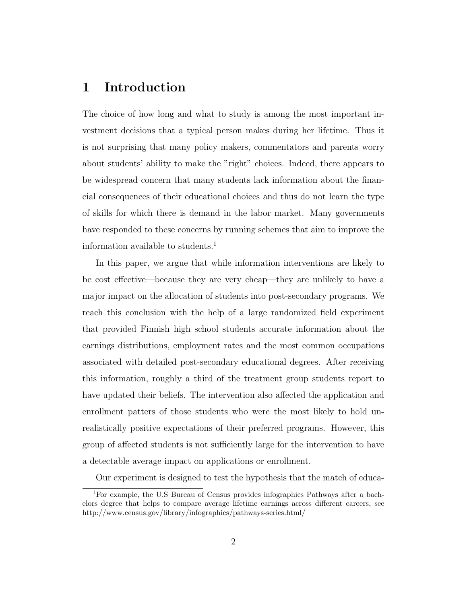# 1 Introduction

The choice of how long and what to study is among the most important investment decisions that a typical person makes during her lifetime. Thus it is not surprising that many policy makers, commentators and parents worry about students' ability to make the "right" choices. Indeed, there appears to be widespread concern that many students lack information about the financial consequences of their educational choices and thus do not learn the type of skills for which there is demand in the labor market. Many governments have responded to these concerns by running schemes that aim to improve the information available to students.<sup>1</sup>

In this paper, we argue that while information interventions are likely to be cost effective—because they are very cheap—they are unlikely to have a major impact on the allocation of students into post-secondary programs. We reach this conclusion with the help of a large randomized field experiment that provided Finnish high school students accurate information about the earnings distributions, employment rates and the most common occupations associated with detailed post-secondary educational degrees. After receiving this information, roughly a third of the treatment group students report to have updated their beliefs. The intervention also affected the application and enrollment patters of those students who were the most likely to hold unrealistically positive expectations of their preferred programs. However, this group of affected students is not sufficiently large for the intervention to have a detectable average impact on applications or enrollment.

Our experiment is designed to test the hypothesis that the match of educa-

<sup>1</sup>For example, the U.S Bureau of Census provides infographics Pathways after a bachelors degree that helps to compare average lifetime earnings across different careers, see http://www.census.gov/library/infographics/pathways-series.html/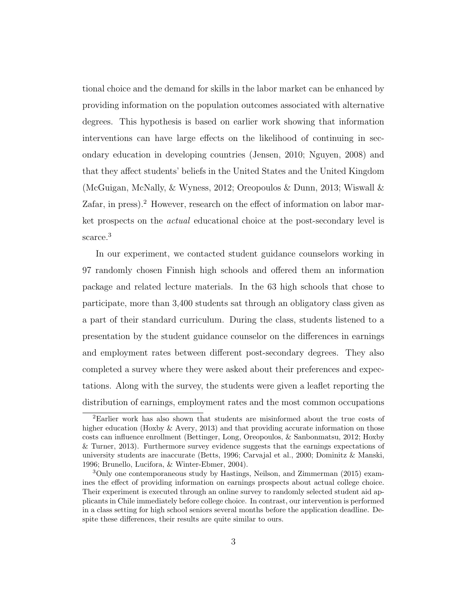tional choice and the demand for skills in the labor market can be enhanced by providing information on the population outcomes associated with alternative degrees. This hypothesis is based on earlier work showing that information interventions can have large effects on the likelihood of continuing in secondary education in developing countries (Jensen, 2010; Nguyen, 2008) and that they affect students' beliefs in the United States and the United Kingdom (McGuigan, McNally, & Wyness, 2012; Oreopoulos & Dunn, 2013; Wiswall & Zafar, in press).<sup>2</sup> However, research on the effect of information on labor market prospects on the *actual* educational choice at the post-secondary level is scarce.<sup>3</sup>

In our experiment, we contacted student guidance counselors working in 97 randomly chosen Finnish high schools and offered them an information package and related lecture materials. In the 63 high schools that chose to participate, more than 3,400 students sat through an obligatory class given as a part of their standard curriculum. During the class, students listened to a presentation by the student guidance counselor on the differences in earnings and employment rates between different post-secondary degrees. They also completed a survey where they were asked about their preferences and expectations. Along with the survey, the students were given a leaflet reporting the distribution of earnings, employment rates and the most common occupations

<sup>2</sup>Earlier work has also shown that students are misinformed about the true costs of higher education (Hoxby & Avery, 2013) and that providing accurate information on those costs can influence enrollment (Bettinger, Long, Oreopoulos, & Sanbonmatsu, 2012; Hoxby & Turner, 2013). Furthermore survey evidence suggests that the earnings expectations of university students are inaccurate (Betts, 1996; Carvajal et al., 2000; Dominitz & Manski, 1996; Brunello, Lucifora, & Winter-Ebmer, 2004).

<sup>3</sup>Only one contemporaneous study by Hastings, Neilson, and Zimmerman (2015) examines the effect of providing information on earnings prospects about actual college choice. Their experiment is executed through an online survey to randomly selected student aid applicants in Chile immediately before college choice. In contrast, our intervention is performed in a class setting for high school seniors several months before the application deadline. Despite these differences, their results are quite similar to ours.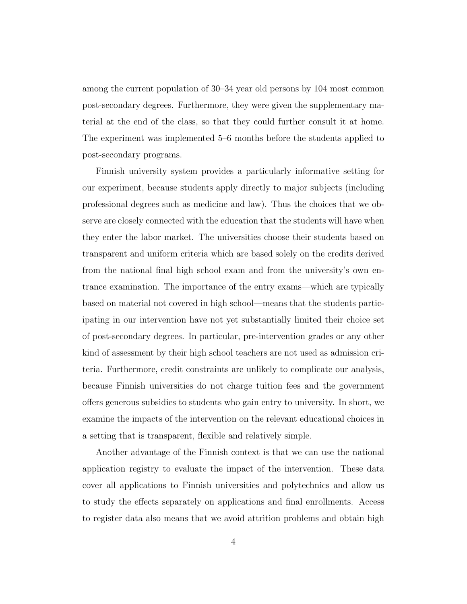among the current population of 30–34 year old persons by 104 most common post-secondary degrees. Furthermore, they were given the supplementary material at the end of the class, so that they could further consult it at home. The experiment was implemented 5–6 months before the students applied to post-secondary programs.

Finnish university system provides a particularly informative setting for our experiment, because students apply directly to major subjects (including professional degrees such as medicine and law). Thus the choices that we observe are closely connected with the education that the students will have when they enter the labor market. The universities choose their students based on transparent and uniform criteria which are based solely on the credits derived from the national final high school exam and from the university's own entrance examination. The importance of the entry exams—which are typically based on material not covered in high school—means that the students participating in our intervention have not yet substantially limited their choice set of post-secondary degrees. In particular, pre-intervention grades or any other kind of assessment by their high school teachers are not used as admission criteria. Furthermore, credit constraints are unlikely to complicate our analysis, because Finnish universities do not charge tuition fees and the government offers generous subsidies to students who gain entry to university. In short, we examine the impacts of the intervention on the relevant educational choices in a setting that is transparent, flexible and relatively simple.

Another advantage of the Finnish context is that we can use the national application registry to evaluate the impact of the intervention. These data cover all applications to Finnish universities and polytechnics and allow us to study the effects separately on applications and final enrollments. Access to register data also means that we avoid attrition problems and obtain high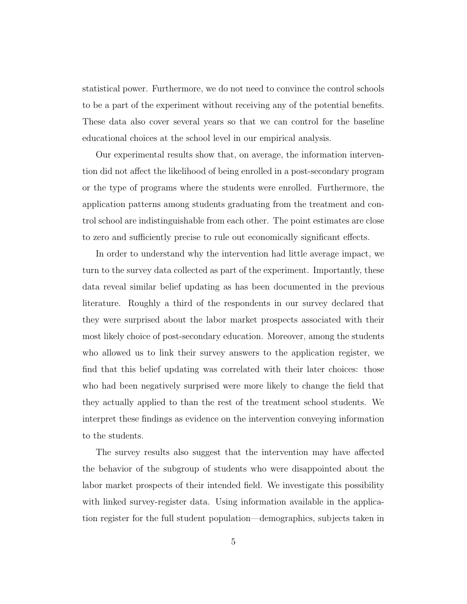statistical power. Furthermore, we do not need to convince the control schools to be a part of the experiment without receiving any of the potential benefits. These data also cover several years so that we can control for the baseline educational choices at the school level in our empirical analysis.

Our experimental results show that, on average, the information intervention did not affect the likelihood of being enrolled in a post-secondary program or the type of programs where the students were enrolled. Furthermore, the application patterns among students graduating from the treatment and control school are indistinguishable from each other. The point estimates are close to zero and sufficiently precise to rule out economically significant effects.

In order to understand why the intervention had little average impact, we turn to the survey data collected as part of the experiment. Importantly, these data reveal similar belief updating as has been documented in the previous literature. Roughly a third of the respondents in our survey declared that they were surprised about the labor market prospects associated with their most likely choice of post-secondary education. Moreover, among the students who allowed us to link their survey answers to the application register, we find that this belief updating was correlated with their later choices: those who had been negatively surprised were more likely to change the field that they actually applied to than the rest of the treatment school students. We interpret these findings as evidence on the intervention conveying information to the students.

The survey results also suggest that the intervention may have affected the behavior of the subgroup of students who were disappointed about the labor market prospects of their intended field. We investigate this possibility with linked survey-register data. Using information available in the application register for the full student population—demographics, subjects taken in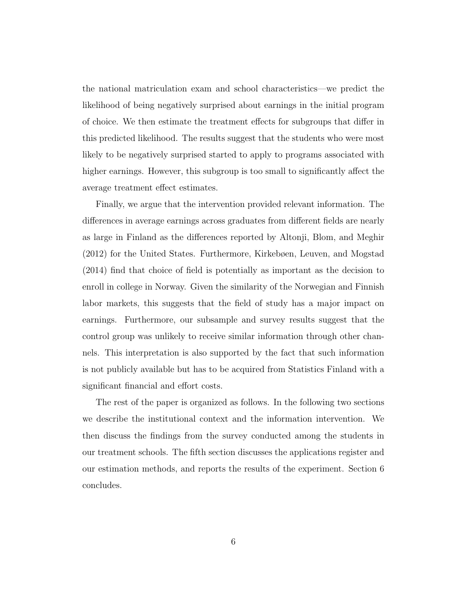the national matriculation exam and school characteristics—we predict the likelihood of being negatively surprised about earnings in the initial program of choice. We then estimate the treatment effects for subgroups that differ in this predicted likelihood. The results suggest that the students who were most likely to be negatively surprised started to apply to programs associated with higher earnings. However, this subgroup is too small to significantly affect the average treatment effect estimates.

Finally, we argue that the intervention provided relevant information. The differences in average earnings across graduates from different fields are nearly as large in Finland as the differences reported by Altonji, Blom, and Meghir (2012) for the United States. Furthermore, Kirkebøen, Leuven, and Mogstad (2014) find that choice of field is potentially as important as the decision to enroll in college in Norway. Given the similarity of the Norwegian and Finnish labor markets, this suggests that the field of study has a major impact on earnings. Furthermore, our subsample and survey results suggest that the control group was unlikely to receive similar information through other channels. This interpretation is also supported by the fact that such information is not publicly available but has to be acquired from Statistics Finland with a significant financial and effort costs.

The rest of the paper is organized as follows. In the following two sections we describe the institutional context and the information intervention. We then discuss the findings from the survey conducted among the students in our treatment schools. The fifth section discusses the applications register and our estimation methods, and reports the results of the experiment. Section 6 concludes.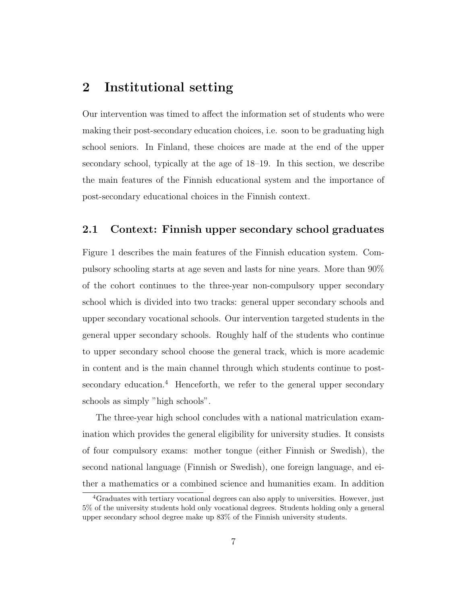## 2 Institutional setting

Our intervention was timed to affect the information set of students who were making their post-secondary education choices, i.e. soon to be graduating high school seniors. In Finland, these choices are made at the end of the upper secondary school, typically at the age of 18–19. In this section, we describe the main features of the Finnish educational system and the importance of post-secondary educational choices in the Finnish context.

#### 2.1 Context: Finnish upper secondary school graduates

Figure 1 describes the main features of the Finnish education system. Compulsory schooling starts at age seven and lasts for nine years. More than 90% of the cohort continues to the three-year non-compulsory upper secondary school which is divided into two tracks: general upper secondary schools and upper secondary vocational schools. Our intervention targeted students in the general upper secondary schools. Roughly half of the students who continue to upper secondary school choose the general track, which is more academic in content and is the main channel through which students continue to postsecondary education.<sup>4</sup> Henceforth, we refer to the general upper secondary schools as simply "high schools".

The three-year high school concludes with a national matriculation examination which provides the general eligibility for university studies. It consists of four compulsory exams: mother tongue (either Finnish or Swedish), the second national language (Finnish or Swedish), one foreign language, and either a mathematics or a combined science and humanities exam. In addition

<sup>4</sup>Graduates with tertiary vocational degrees can also apply to universities. However, just 5% of the university students hold only vocational degrees. Students holding only a general upper secondary school degree make up 83% of the Finnish university students.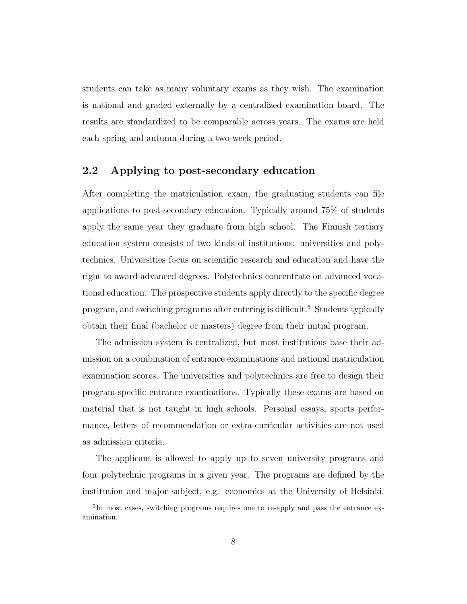students can take as many voluntary exams as they wish. The examination is national and graded externally by a centralized examination board. The results are standardized to be comparable across years. The exams are held each spring and autumn during a two-week period.

#### 2.2 Applying to post-secondary education

After completing the matriculation exam, the graduating students can file applications to post-secondary education. Typically around 75% of students apply the same year they graduate from high school. The Finnish tertiary education system consists of two kinds of institutions: universities and polytechnics. Universities focus on scientific research and education and have the right to award advanced degrees. Polytechnics concentrate on advanced vocational education. The prospective students apply directly to the specific degree program, and switching programs after entering is difficult.<sup>5</sup> Students typically obtain their final (bachelor or masters) degree from their initial program.

The admission system is centralized, but most institutions base their admission on a combination of entrance examinations and national matriculation examination scores. The universities and polytechnics are free to design their program-specific entrance examinations. Typically these exams are based on material that is not taught in high schools. Personal essays, sports performance, letters of recommendation or extra-curricular activities are not used as admission criteria.

The applicant is allowed to apply up to seven university programs and four polytechnic programs in a given year. The programs are defined by the institution and major subject, e.g. economics at the University of Helsinki.

<sup>5</sup> In most cases, switching programs requires one to re-apply and pass the entrance examination.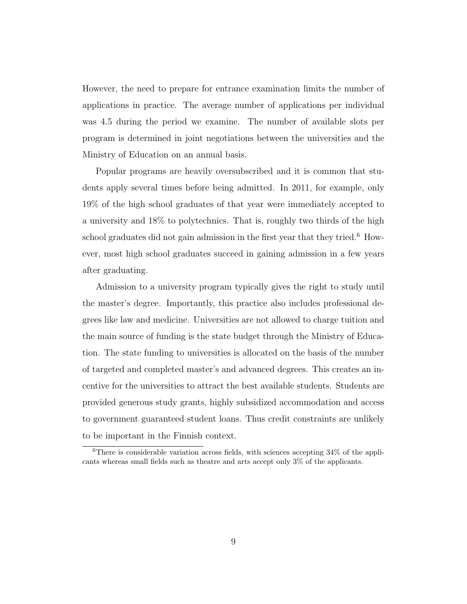However, the need to prepare for entrance examination limits the number of applications in practice. The average number of applications per individual was 4.5 during the period we examine. The number of available slots per program is determined in joint negotiations between the universities and the Ministry of Education on an annual basis.

Popular programs are heavily oversubscribed and it is common that students apply several times before being admitted. In 2011, for example, only 19% of the high school graduates of that year were immediately accepted to a university and 18% to polytechnics. That is, roughly two thirds of the high school graduates did not gain admission in the first year that they tried.<sup>6</sup> However, most high school graduates succeed in gaining admission in a few years after graduating.

Admission to a university program typically gives the right to study until the master's degree. Importantly, this practice also includes professional degrees like law and medicine. Universities are not allowed to charge tuition and the main source of funding is the state budget through the Ministry of Education. The state funding to universities is allocated on the basis of the number of targeted and completed master's and advanced degrees. This creates an incentive for the universities to attract the best available students. Students are provided generous study grants, highly subsidized accommodation and access to government guaranteed student loans. Thus credit constraints are unlikely to be important in the Finnish context.

 $6$ There is considerable variation across fields, with sciences accepting 34% of the applicants whereas small fields such as theatre and arts accept only 3% of the applicants.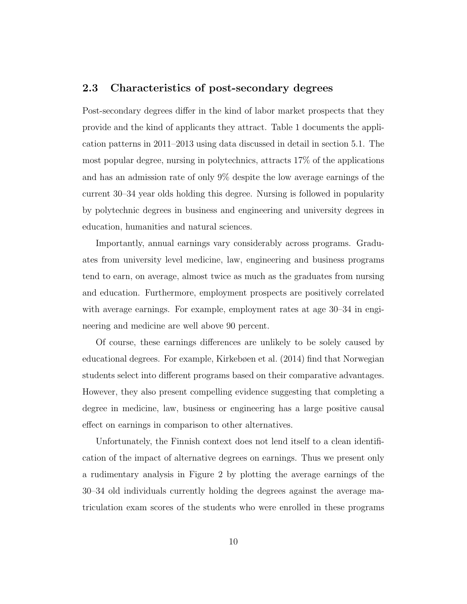#### 2.3 Characteristics of post-secondary degrees

Post-secondary degrees differ in the kind of labor market prospects that they provide and the kind of applicants they attract. Table 1 documents the application patterns in 2011–2013 using data discussed in detail in section 5.1. The most popular degree, nursing in polytechnics, attracts 17% of the applications and has an admission rate of only 9% despite the low average earnings of the current 30–34 year olds holding this degree. Nursing is followed in popularity by polytechnic degrees in business and engineering and university degrees in education, humanities and natural sciences.

Importantly, annual earnings vary considerably across programs. Graduates from university level medicine, law, engineering and business programs tend to earn, on average, almost twice as much as the graduates from nursing and education. Furthermore, employment prospects are positively correlated with average earnings. For example, employment rates at age 30–34 in engineering and medicine are well above 90 percent.

Of course, these earnings differences are unlikely to be solely caused by educational degrees. For example, Kirkebøen et al. (2014) find that Norwegian students select into different programs based on their comparative advantages. However, they also present compelling evidence suggesting that completing a degree in medicine, law, business or engineering has a large positive causal effect on earnings in comparison to other alternatives.

Unfortunately, the Finnish context does not lend itself to a clean identification of the impact of alternative degrees on earnings. Thus we present only a rudimentary analysis in Figure 2 by plotting the average earnings of the 30–34 old individuals currently holding the degrees against the average matriculation exam scores of the students who were enrolled in these programs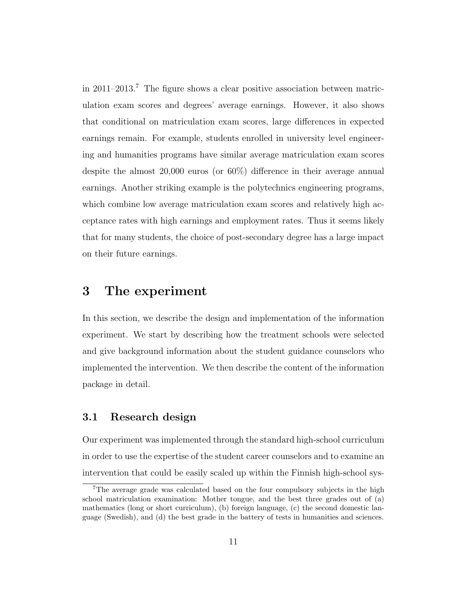in  $2011-2013$ .<sup>7</sup> The figure shows a clear positive association between matriculation exam scores and degrees' average earnings. However, it also shows that conditional on matriculation exam scores, large differences in expected earnings remain. For example, students enrolled in university level engineering and humanities programs have similar average matriculation exam scores despite the almost 20,000 euros (or 60%) difference in their average annual earnings. Another striking example is the polytechnics engineering programs, which combine low average matriculation exam scores and relatively high acceptance rates with high earnings and employment rates. Thus it seems likely that for many students, the choice of post-secondary degree has a large impact on their future earnings.

# 3 The experiment

In this section, we describe the design and implementation of the information experiment. We start by describing how the treatment schools were selected and give background information about the student guidance counselors who implemented the intervention. We then describe the content of the information package in detail.

#### 3.1 Research design

Our experiment was implemented through the standard high-school curriculum in order to use the expertise of the student career counselors and to examine an intervention that could be easily scaled up within the Finnish high-school sys-

<sup>7</sup>The average grade was calculated based on the four compulsory subjects in the high school matriculation examination: Mother tongue, and the best three grades out of (a) mathematics (long or short curriculum), (b) foreign language, (c) the second domestic language (Swedish), and (d) the best grade in the battery of tests in humanities and sciences.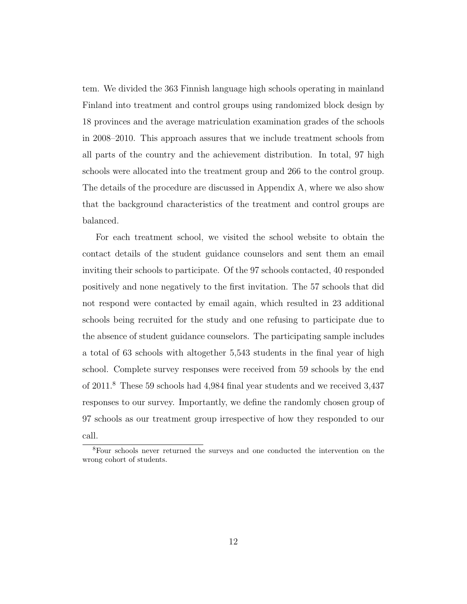tem. We divided the 363 Finnish language high schools operating in mainland Finland into treatment and control groups using randomized block design by 18 provinces and the average matriculation examination grades of the schools in 2008–2010. This approach assures that we include treatment schools from all parts of the country and the achievement distribution. In total, 97 high schools were allocated into the treatment group and 266 to the control group. The details of the procedure are discussed in Appendix A, where we also show that the background characteristics of the treatment and control groups are balanced.

For each treatment school, we visited the school website to obtain the contact details of the student guidance counselors and sent them an email inviting their schools to participate. Of the 97 schools contacted, 40 responded positively and none negatively to the first invitation. The 57 schools that did not respond were contacted by email again, which resulted in 23 additional schools being recruited for the study and one refusing to participate due to the absence of student guidance counselors. The participating sample includes a total of 63 schools with altogether 5,543 students in the final year of high school. Complete survey responses were received from 59 schools by the end of 2011.<sup>8</sup> These 59 schools had 4,984 final year students and we received 3,437 responses to our survey. Importantly, we define the randomly chosen group of 97 schools as our treatment group irrespective of how they responded to our call.

<sup>8</sup>Four schools never returned the surveys and one conducted the intervention on the wrong cohort of students.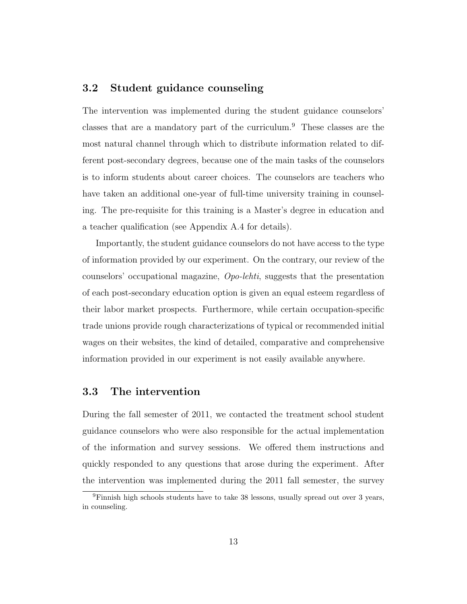#### 3.2 Student guidance counseling

The intervention was implemented during the student guidance counselors' classes that are a mandatory part of the curriculum.<sup>9</sup> These classes are the most natural channel through which to distribute information related to different post-secondary degrees, because one of the main tasks of the counselors is to inform students about career choices. The counselors are teachers who have taken an additional one-year of full-time university training in counseling. The pre-requisite for this training is a Master's degree in education and a teacher qualification (see Appendix A.4 for details).

Importantly, the student guidance counselors do not have access to the type of information provided by our experiment. On the contrary, our review of the counselors' occupational magazine, Opo-lehti, suggests that the presentation of each post-secondary education option is given an equal esteem regardless of their labor market prospects. Furthermore, while certain occupation-specific trade unions provide rough characterizations of typical or recommended initial wages on their websites, the kind of detailed, comparative and comprehensive information provided in our experiment is not easily available anywhere.

#### 3.3 The intervention

During the fall semester of 2011, we contacted the treatment school student guidance counselors who were also responsible for the actual implementation of the information and survey sessions. We offered them instructions and quickly responded to any questions that arose during the experiment. After the intervention was implemented during the 2011 fall semester, the survey

 $^{9}$ Finnish high schools students have to take 38 lessons, usually spread out over 3 years, in counseling.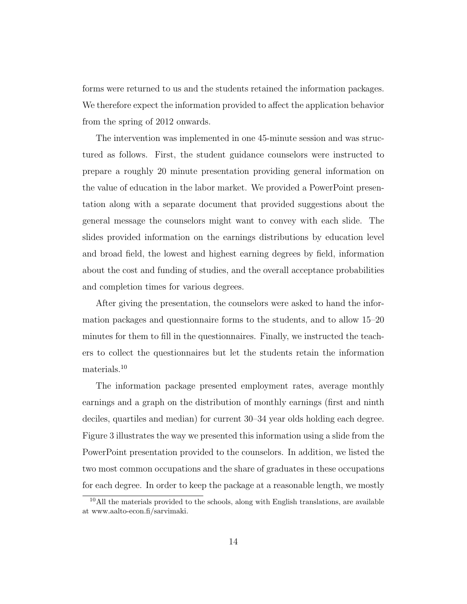forms were returned to us and the students retained the information packages. We therefore expect the information provided to affect the application behavior from the spring of 2012 onwards.

The intervention was implemented in one 45-minute session and was structured as follows. First, the student guidance counselors were instructed to prepare a roughly 20 minute presentation providing general information on the value of education in the labor market. We provided a PowerPoint presentation along with a separate document that provided suggestions about the general message the counselors might want to convey with each slide. The slides provided information on the earnings distributions by education level and broad field, the lowest and highest earning degrees by field, information about the cost and funding of studies, and the overall acceptance probabilities and completion times for various degrees.

After giving the presentation, the counselors were asked to hand the information packages and questionnaire forms to the students, and to allow 15–20 minutes for them to fill in the questionnaires. Finally, we instructed the teachers to collect the questionnaires but let the students retain the information materials.<sup>10</sup>

The information package presented employment rates, average monthly earnings and a graph on the distribution of monthly earnings (first and ninth deciles, quartiles and median) for current 30–34 year olds holding each degree. Figure 3 illustrates the way we presented this information using a slide from the PowerPoint presentation provided to the counselors. In addition, we listed the two most common occupations and the share of graduates in these occupations for each degree. In order to keep the package at a reasonable length, we mostly

 $10$ All the materials provided to the schools, along with English translations, are available at www.aalto-econ.fi/sarvimaki.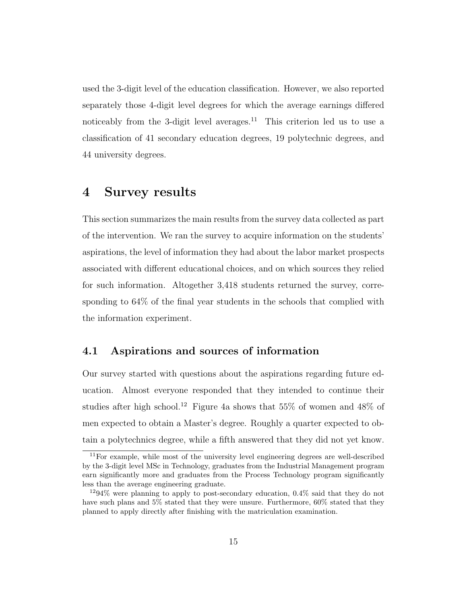used the 3-digit level of the education classification. However, we also reported separately those 4-digit level degrees for which the average earnings differed noticeably from the 3-digit level averages. $11$  This criterion led us to use a classification of 41 secondary education degrees, 19 polytechnic degrees, and 44 university degrees.

# 4 Survey results

This section summarizes the main results from the survey data collected as part of the intervention. We ran the survey to acquire information on the students' aspirations, the level of information they had about the labor market prospects associated with different educational choices, and on which sources they relied for such information. Altogether 3,418 students returned the survey, corresponding to 64% of the final year students in the schools that complied with the information experiment.

#### 4.1 Aspirations and sources of information

Our survey started with questions about the aspirations regarding future education. Almost everyone responded that they intended to continue their studies after high school.<sup>12</sup> Figure 4a shows that 55% of women and 48% of men expected to obtain a Master's degree. Roughly a quarter expected to obtain a polytechnics degree, while a fifth answered that they did not yet know.

 $11$ For example, while most of the university level engineering degrees are well-described by the 3-digit level MSc in Technology, graduates from the Industrial Management program earn significantly more and graduates from the Process Technology program significantly less than the average engineering graduate.

 $1294\%$  were planning to apply to post-secondary education,  $0.4\%$  said that they do not have such plans and 5% stated that they were unsure. Furthermore,  $60\%$  stated that they planned to apply directly after finishing with the matriculation examination.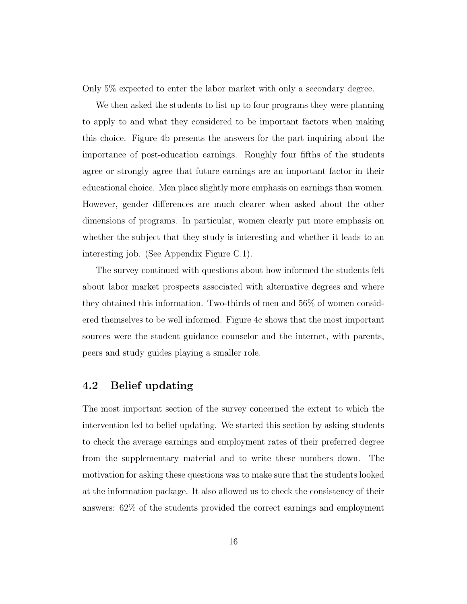Only 5% expected to enter the labor market with only a secondary degree.

We then asked the students to list up to four programs they were planning to apply to and what they considered to be important factors when making this choice. Figure 4b presents the answers for the part inquiring about the importance of post-education earnings. Roughly four fifths of the students agree or strongly agree that future earnings are an important factor in their educational choice. Men place slightly more emphasis on earnings than women. However, gender differences are much clearer when asked about the other dimensions of programs. In particular, women clearly put more emphasis on whether the subject that they study is interesting and whether it leads to an interesting job. (See Appendix Figure C.1).

The survey continued with questions about how informed the students felt about labor market prospects associated with alternative degrees and where they obtained this information. Two-thirds of men and 56% of women considered themselves to be well informed. Figure 4c shows that the most important sources were the student guidance counselor and the internet, with parents, peers and study guides playing a smaller role.

#### 4.2 Belief updating

The most important section of the survey concerned the extent to which the intervention led to belief updating. We started this section by asking students to check the average earnings and employment rates of their preferred degree from the supplementary material and to write these numbers down. The motivation for asking these questions was to make sure that the students looked at the information package. It also allowed us to check the consistency of their answers: 62% of the students provided the correct earnings and employment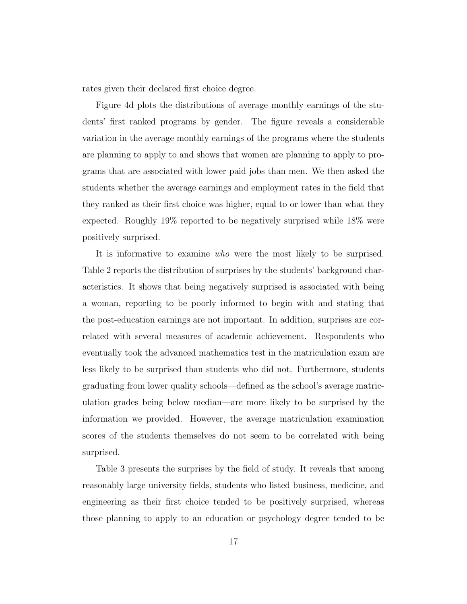rates given their declared first choice degree.

Figure 4d plots the distributions of average monthly earnings of the students' first ranked programs by gender. The figure reveals a considerable variation in the average monthly earnings of the programs where the students are planning to apply to and shows that women are planning to apply to programs that are associated with lower paid jobs than men. We then asked the students whether the average earnings and employment rates in the field that they ranked as their first choice was higher, equal to or lower than what they expected. Roughly 19% reported to be negatively surprised while 18% were positively surprised.

It is informative to examine who were the most likely to be surprised. Table 2 reports the distribution of surprises by the students' background characteristics. It shows that being negatively surprised is associated with being a woman, reporting to be poorly informed to begin with and stating that the post-education earnings are not important. In addition, surprises are correlated with several measures of academic achievement. Respondents who eventually took the advanced mathematics test in the matriculation exam are less likely to be surprised than students who did not. Furthermore, students graduating from lower quality schools—defined as the school's average matriculation grades being below median—are more likely to be surprised by the information we provided. However, the average matriculation examination scores of the students themselves do not seem to be correlated with being surprised.

Table 3 presents the surprises by the field of study. It reveals that among reasonably large university fields, students who listed business, medicine, and engineering as their first choice tended to be positively surprised, whereas those planning to apply to an education or psychology degree tended to be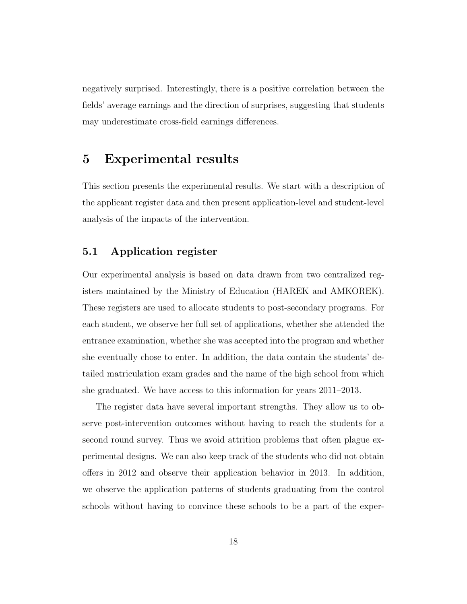negatively surprised. Interestingly, there is a positive correlation between the fields' average earnings and the direction of surprises, suggesting that students may underestimate cross-field earnings differences.

#### 5 Experimental results

This section presents the experimental results. We start with a description of the applicant register data and then present application-level and student-level analysis of the impacts of the intervention.

#### 5.1 Application register

Our experimental analysis is based on data drawn from two centralized registers maintained by the Ministry of Education (HAREK and AMKOREK). These registers are used to allocate students to post-secondary programs. For each student, we observe her full set of applications, whether she attended the entrance examination, whether she was accepted into the program and whether she eventually chose to enter. In addition, the data contain the students' detailed matriculation exam grades and the name of the high school from which she graduated. We have access to this information for years 2011–2013.

The register data have several important strengths. They allow us to observe post-intervention outcomes without having to reach the students for a second round survey. Thus we avoid attrition problems that often plague experimental designs. We can also keep track of the students who did not obtain offers in 2012 and observe their application behavior in 2013. In addition, we observe the application patterns of students graduating from the control schools without having to convince these schools to be a part of the exper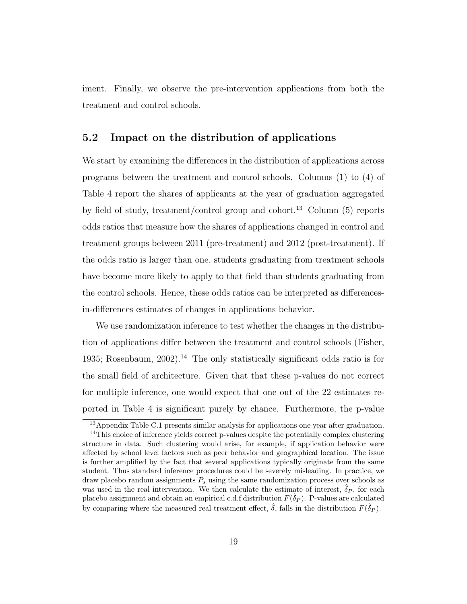iment. Finally, we observe the pre-intervention applications from both the treatment and control schools.

#### 5.2 Impact on the distribution of applications

We start by examining the differences in the distribution of applications across programs between the treatment and control schools. Columns (1) to (4) of Table 4 report the shares of applicants at the year of graduation aggregated by field of study, treatment/control group and cohort.<sup>13</sup> Column (5) reports odds ratios that measure how the shares of applications changed in control and treatment groups between 2011 (pre-treatment) and 2012 (post-treatment). If the odds ratio is larger than one, students graduating from treatment schools have become more likely to apply to that field than students graduating from the control schools. Hence, these odds ratios can be interpreted as differencesin-differences estimates of changes in applications behavior.

We use randomization inference to test whether the changes in the distribution of applications differ between the treatment and control schools (Fisher, 1935; Rosenbaum, 2002).<sup>14</sup> The only statistically significant odds ratio is for the small field of architecture. Given that that these p-values do not correct for multiple inference, one would expect that one out of the 22 estimates reported in Table 4 is significant purely by chance. Furthermore, the p-value

<sup>13</sup>Appendix Table C.1 presents similar analysis for applications one year after graduation.

<sup>&</sup>lt;sup>14</sup>This choice of inference yields correct p-values despite the potentially complex clustering structure in data. Such clustering would arise, for example, if application behavior were affected by school level factors such as peer behavior and geographical location. The issue is further amplified by the fact that several applications typically originate from the same student. Thus standard inference procedures could be severely misleading. In practice, we draw placebo random assignments  $P<sub>s</sub>$  using the same randomization process over schools as was used in the real intervention. We then calculate the estimate of interest,  $\delta_P$ , for each placebo assignment and obtain an empirical c.d.f distribution  $F(\hat{\delta}_P)$ . P-values are calculated by comparing where the measured real treatment effect,  $\hat{\delta}$ , falls in the distribution  $F(\hat{\delta}_P)$ .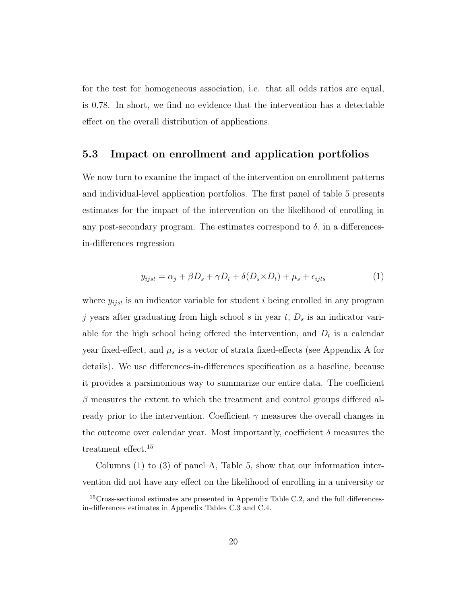for the test for homogeneous association, i.e. that all odds ratios are equal, is 0.78. In short, we find no evidence that the intervention has a detectable effect on the overall distribution of applications.

#### 5.3 Impact on enrollment and application portfolios

We now turn to examine the impact of the intervention on enrollment patterns and individual-level application portfolios. The first panel of table 5 presents estimates for the impact of the intervention on the likelihood of enrolling in any post-secondary program. The estimates correspond to  $\delta$ , in a differencesin-differences regression

$$
y_{ijst} = \alpha_j + \beta D_s + \gamma D_t + \delta(D_s \times D_t) + \mu_s + \epsilon_{ijts}
$$
\n(1)

where  $y_{ijst}$  is an indicator variable for student i being enrolled in any program j years after graduating from high school s in year  $t, D_s$  is an indicator variable for the high school being offered the intervention, and  $D_t$  is a calendar year fixed-effect, and  $\mu_s$  is a vector of strata fixed-effects (see Appendix A for details). We use differences-in-differences specification as a baseline, because it provides a parsimonious way to summarize our entire data. The coefficient  $\beta$  measures the extent to which the treatment and control groups differed already prior to the intervention. Coefficient  $\gamma$  measures the overall changes in the outcome over calendar year. Most importantly, coefficient  $\delta$  measures the treatment effect.<sup>15</sup>

Columns (1) to (3) of panel A, Table 5, show that our information intervention did not have any effect on the likelihood of enrolling in a university or

<sup>15</sup>Cross-sectional estimates are presented in Appendix Table C.2, and the full differencesin-differences estimates in Appendix Tables C.3 and C.4.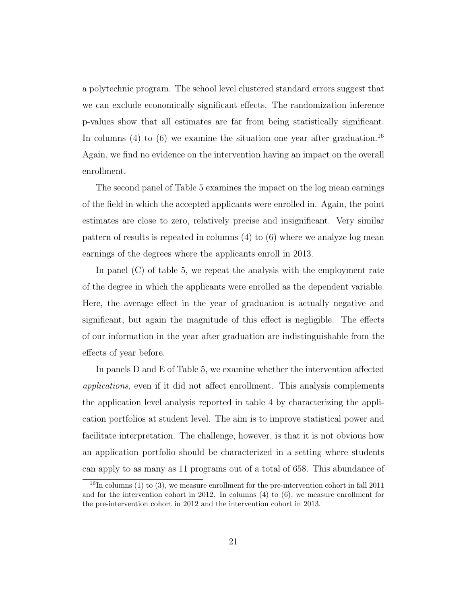a polytechnic program. The school level clustered standard errors suggest that we can exclude economically significant effects. The randomization inference p-values show that all estimates are far from being statistically significant. In columns (4) to (6) we examine the situation one year after graduation.<sup>16</sup> Again, we find no evidence on the intervention having an impact on the overall enrollment.

The second panel of Table 5 examines the impact on the log mean earnings of the field in which the accepted applicants were enrolled in. Again, the point estimates are close to zero, relatively precise and insignificant. Very similar pattern of results is repeated in columns (4) to (6) where we analyze log mean earnings of the degrees where the applicants enroll in 2013.

In panel (C) of table 5, we repeat the analysis with the employment rate of the degree in which the applicants were enrolled as the dependent variable. Here, the average effect in the year of graduation is actually negative and significant, but again the magnitude of this effect is negligible. The effects of our information in the year after graduation are indistinguishable from the effects of year before.

In panels D and E of Table 5, we examine whether the intervention affected applications, even if it did not affect enrollment. This analysis complements the application level analysis reported in table 4 by characterizing the application portfolios at student level. The aim is to improve statistical power and facilitate interpretation. The challenge, however, is that it is not obvious how an application portfolio should be characterized in a setting where students can apply to as many as 11 programs out of a total of 658. This abundance of

<sup>&</sup>lt;sup>16</sup>In columns (1) to (3), we measure enrollment for the pre-intervention cohort in fall 2011 and for the intervention cohort in 2012. In columns (4) to (6), we measure enrollment for the pre-intervention cohort in 2012 and the intervention cohort in 2013.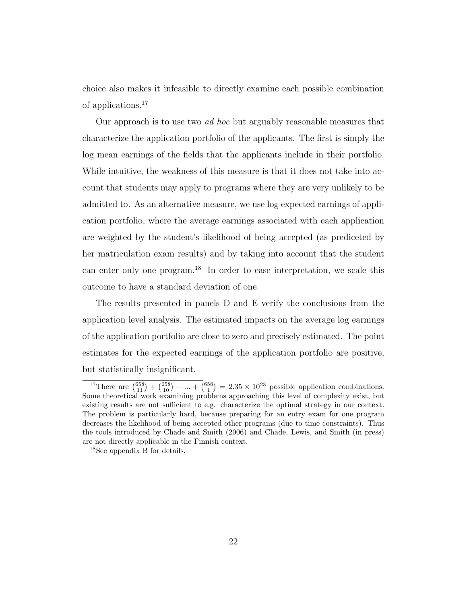choice also makes it infeasible to directly examine each possible combination of applications.<sup>17</sup>

Our approach is to use two ad hoc but arguably reasonable measures that characterize the application portfolio of the applicants. The first is simply the log mean earnings of the fields that the applicants include in their portfolio. While intuitive, the weakness of this measure is that it does not take into account that students may apply to programs where they are very unlikely to be admitted to. As an alternative measure, we use log expected earnings of application portfolio, where the average earnings associated with each application are weighted by the student's likelihood of being accepted (as prediceted by her matriculation exam results) and by taking into account that the student can enter only one program.<sup>18</sup> In order to ease interpretation, we scale this outcome to have a standard deviation of one.

The results presented in panels D and E verify the conclusions from the application level analysis. The estimated impacts on the average log earnings of the application portfolio are close to zero and precisely estimated. The point estimates for the expected earnings of the application portfolio are positive, but statistically insignificant.

<sup>&</sup>lt;sup>17</sup>There are  $\binom{658}{11} + \binom{658}{10} + \dots + \binom{658}{1} = 2.35 \times 10^{23}$  possible application combinations. Some theoretical work examining problems approaching this level of complexity exist, but existing results are not sufficient to e.g. characterize the optimal strategy in our context. The problem is particularly hard, because preparing for an entry exam for one program decreases the likelihood of being accepted other programs (due to time constraints). Thus the tools introduced by Chade and Smith (2006) and Chade, Lewis, and Smith (in press) are not directly applicable in the Finnish context.

<sup>18</sup>See appendix B for details.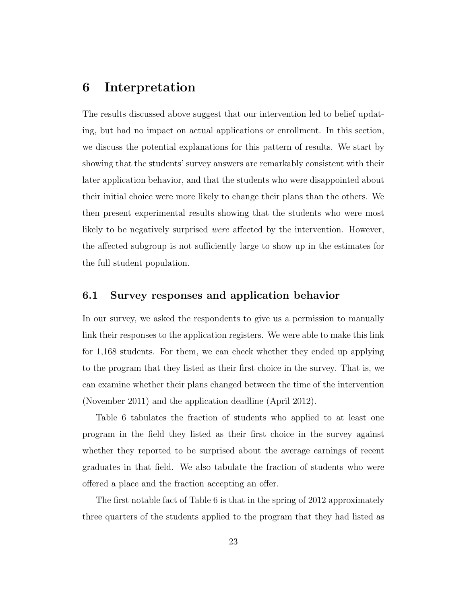## 6 Interpretation

The results discussed above suggest that our intervention led to belief updating, but had no impact on actual applications or enrollment. In this section, we discuss the potential explanations for this pattern of results. We start by showing that the students' survey answers are remarkably consistent with their later application behavior, and that the students who were disappointed about their initial choice were more likely to change their plans than the others. We then present experimental results showing that the students who were most likely to be negatively surprised were affected by the intervention. However, the affected subgroup is not sufficiently large to show up in the estimates for the full student population.

#### 6.1 Survey responses and application behavior

In our survey, we asked the respondents to give us a permission to manually link their responses to the application registers. We were able to make this link for 1,168 students. For them, we can check whether they ended up applying to the program that they listed as their first choice in the survey. That is, we can examine whether their plans changed between the time of the intervention (November 2011) and the application deadline (April 2012).

Table 6 tabulates the fraction of students who applied to at least one program in the field they listed as their first choice in the survey against whether they reported to be surprised about the average earnings of recent graduates in that field. We also tabulate the fraction of students who were offered a place and the fraction accepting an offer.

The first notable fact of Table 6 is that in the spring of 2012 approximately three quarters of the students applied to the program that they had listed as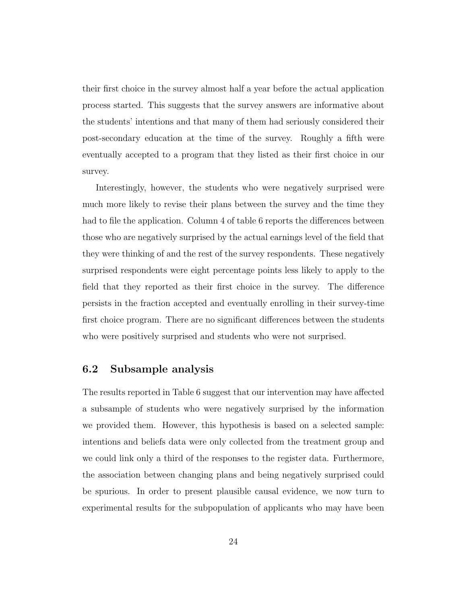their first choice in the survey almost half a year before the actual application process started. This suggests that the survey answers are informative about the students' intentions and that many of them had seriously considered their post-secondary education at the time of the survey. Roughly a fifth were eventually accepted to a program that they listed as their first choice in our survey.

Interestingly, however, the students who were negatively surprised were much more likely to revise their plans between the survey and the time they had to file the application. Column 4 of table 6 reports the differences between those who are negatively surprised by the actual earnings level of the field that they were thinking of and the rest of the survey respondents. These negatively surprised respondents were eight percentage points less likely to apply to the field that they reported as their first choice in the survey. The difference persists in the fraction accepted and eventually enrolling in their survey-time first choice program. There are no significant differences between the students who were positively surprised and students who were not surprised.

#### 6.2 Subsample analysis

The results reported in Table 6 suggest that our intervention may have affected a subsample of students who were negatively surprised by the information we provided them. However, this hypothesis is based on a selected sample: intentions and beliefs data were only collected from the treatment group and we could link only a third of the responses to the register data. Furthermore, the association between changing plans and being negatively surprised could be spurious. In order to present plausible causal evidence, we now turn to experimental results for the subpopulation of applicants who may have been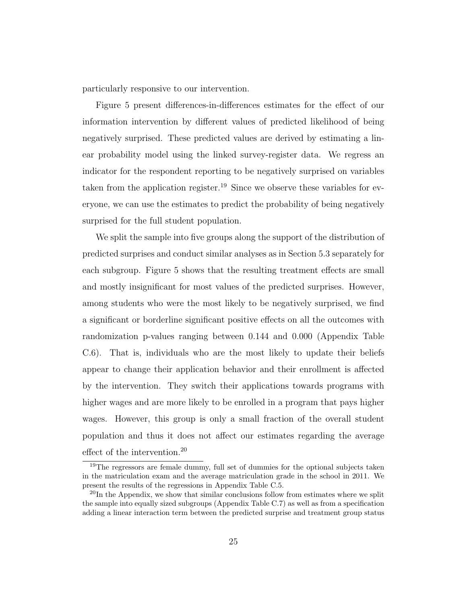particularly responsive to our intervention.

Figure 5 present differences-in-differences estimates for the effect of our information intervention by different values of predicted likelihood of being negatively surprised. These predicted values are derived by estimating a linear probability model using the linked survey-register data. We regress an indicator for the respondent reporting to be negatively surprised on variables taken from the application register.<sup>19</sup> Since we observe these variables for everyone, we can use the estimates to predict the probability of being negatively surprised for the full student population.

We split the sample into five groups along the support of the distribution of predicted surprises and conduct similar analyses as in Section 5.3 separately for each subgroup. Figure 5 shows that the resulting treatment effects are small and mostly insignificant for most values of the predicted surprises. However, among students who were the most likely to be negatively surprised, we find a significant or borderline significant positive effects on all the outcomes with randomization p-values ranging between 0.144 and 0.000 (Appendix Table C.6). That is, individuals who are the most likely to update their beliefs appear to change their application behavior and their enrollment is affected by the intervention. They switch their applications towards programs with higher wages and are more likely to be enrolled in a program that pays higher wages. However, this group is only a small fraction of the overall student population and thus it does not affect our estimates regarding the average effect of the intervention.<sup>20</sup>

<sup>&</sup>lt;sup>19</sup>The regressors are female dummy, full set of dummies for the optional subjects taken in the matriculation exam and the average matriculation grade in the school in 2011. We present the results of the regressions in Appendix Table C.5.

 $^{20}$ In the Appendix, we show that similar conclusions follow from estimates where we split the sample into equally sized subgroups (Appendix Table C.7) as well as from a specification adding a linear interaction term between the predicted surprise and treatment group status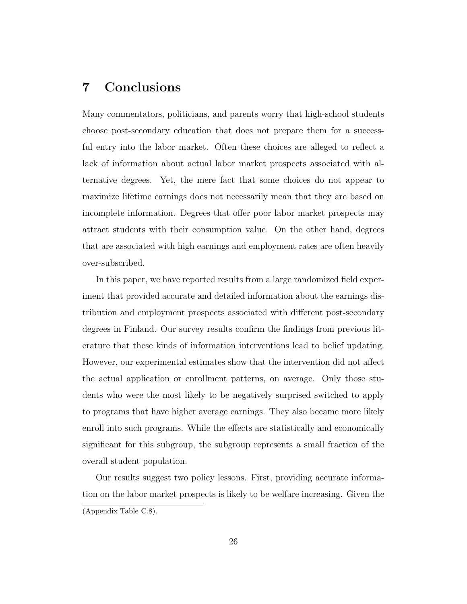# 7 Conclusions

Many commentators, politicians, and parents worry that high-school students choose post-secondary education that does not prepare them for a successful entry into the labor market. Often these choices are alleged to reflect a lack of information about actual labor market prospects associated with alternative degrees. Yet, the mere fact that some choices do not appear to maximize lifetime earnings does not necessarily mean that they are based on incomplete information. Degrees that offer poor labor market prospects may attract students with their consumption value. On the other hand, degrees that are associated with high earnings and employment rates are often heavily over-subscribed.

In this paper, we have reported results from a large randomized field experiment that provided accurate and detailed information about the earnings distribution and employment prospects associated with different post-secondary degrees in Finland. Our survey results confirm the findings from previous literature that these kinds of information interventions lead to belief updating. However, our experimental estimates show that the intervention did not affect the actual application or enrollment patterns, on average. Only those students who were the most likely to be negatively surprised switched to apply to programs that have higher average earnings. They also became more likely enroll into such programs. While the effects are statistically and economically significant for this subgroup, the subgroup represents a small fraction of the overall student population.

Our results suggest two policy lessons. First, providing accurate information on the labor market prospects is likely to be welfare increasing. Given the (Appendix Table C.8).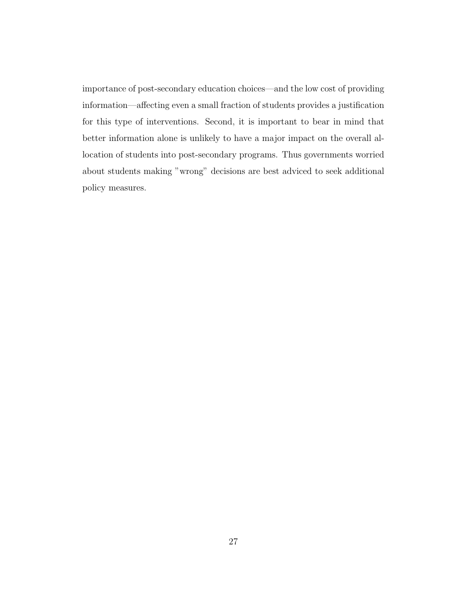importance of post-secondary education choices—and the low cost of providing information—affecting even a small fraction of students provides a justification for this type of interventions. Second, it is important to bear in mind that better information alone is unlikely to have a major impact on the overall allocation of students into post-secondary programs. Thus governments worried about students making "wrong" decisions are best adviced to seek additional policy measures.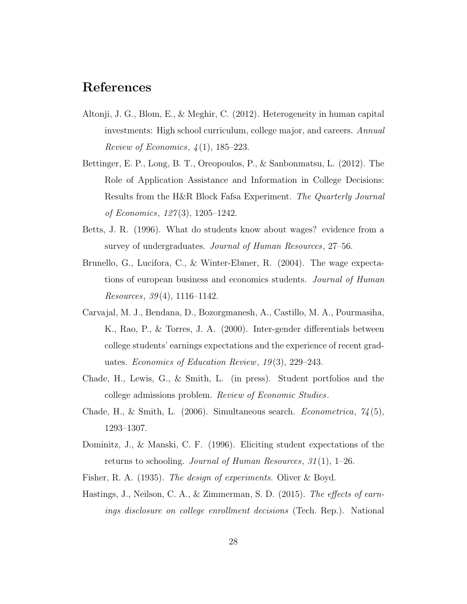## References

- Altonji, J. G., Blom, E., & Meghir, C. (2012). Heterogeneity in human capital investments: High school curriculum, college major, and careers. Annual Review of Economics,  $\mathcal{A}(1)$ , 185–223.
- Bettinger, E. P., Long, B. T., Oreopoulos, P., & Sanbonmatsu, L. (2012). The Role of Application Assistance and Information in College Decisions: Results from the H&R Block Fafsa Experiment. The Quarterly Journal of Economics, 127 (3), 1205–1242.
- Betts, J. R. (1996). What do students know about wages? evidence from a survey of undergraduates. *Journal of Human Resources*, 27–56.
- Brunello, G., Lucifora, C., & Winter-Ebmer, R. (2004). The wage expectations of european business and economics students. Journal of Human Resources,  $39(4)$ ,  $1116-1142$ .
- Carvajal, M. J., Bendana, D., Bozorgmanesh, A., Castillo, M. A., Pourmasiha, K., Rao, P., & Torres, J. A. (2000). Inter-gender differentials between college students' earnings expectations and the experience of recent graduates. Economics of Education Review, 19(3), 229–243.
- Chade, H., Lewis, G., & Smith, L. (in press). Student portfolios and the college admissions problem. Review of Economic Studies.
- Chade, H., & Smith, L. (2006). Simultaneous search. *Econometrica*,  $\gamma_4(5)$ , 1293–1307.
- Dominitz, J., & Manski, C. F. (1996). Eliciting student expectations of the returns to schooling. Journal of Human Resources,  $31(1)$ , 1–26.
- Fisher, R. A. (1935). The design of experiments. Oliver & Boyd.
- Hastings, J., Neilson, C. A., & Zimmerman, S. D. (2015). The effects of earnings disclosure on college enrollment decisions (Tech. Rep.). National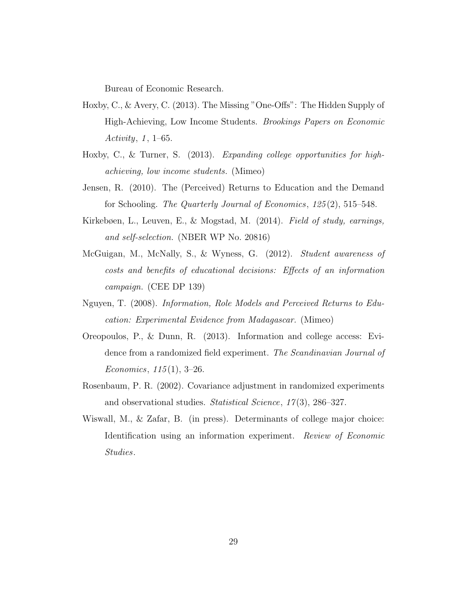Bureau of Economic Research.

- Hoxby, C., & Avery, C. (2013). The Missing "One-Offs": The Hidden Supply of High-Achieving, Low Income Students. Brookings Papers on Economic Activity,  $1, 1-65$ .
- Hoxby, C., & Turner, S. (2013). Expanding college opportunities for highachieving, low income students. (Mimeo)
- Jensen, R. (2010). The (Perceived) Returns to Education and the Demand for Schooling. The Quarterly Journal of Economics, 125 (2), 515–548.
- Kirkebøen, L., Leuven, E., & Mogstad, M. (2014). Field of study, earnings, and self-selection. (NBER WP No. 20816)
- McGuigan, M., McNally, S., & Wyness, G. (2012). Student awareness of costs and benefits of educational decisions: Effects of an information campaign. (CEE DP 139)
- Nguyen, T. (2008). Information, Role Models and Perceived Returns to Education: Experimental Evidence from Madagascar. (Mimeo)
- Oreopoulos, P., & Dunn, R. (2013). Information and college access: Evidence from a randomized field experiment. The Scandinavian Journal of Economics,  $115(1)$ , 3-26.
- Rosenbaum, P. R. (2002). Covariance adjustment in randomized experiments and observational studies. Statistical Science, 17 (3), 286–327.
- Wiswall, M., & Zafar, B. (in press). Determinants of college major choice: Identification using an information experiment. Review of Economic Studies.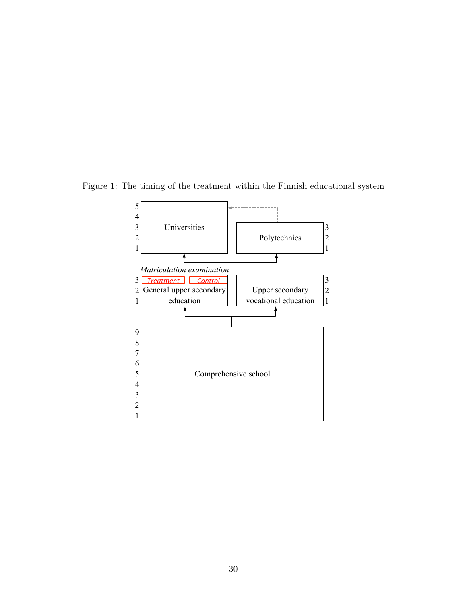

Figure 1: The timing of the treatment within the Finnish educational system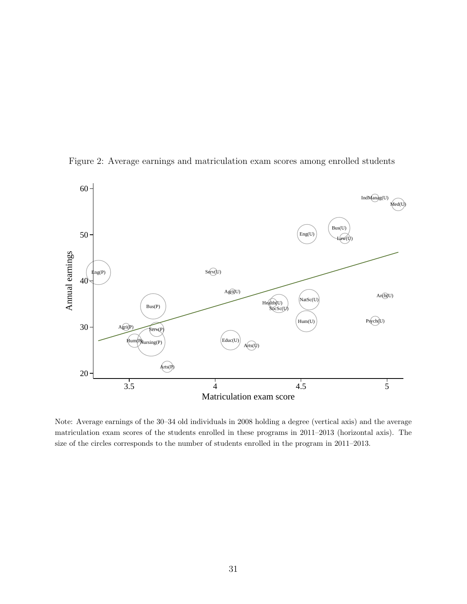

Figure 2: Average earnings and matriculation exam scores among enrolled students

Note: Average earnings of the 30–34 old individuals in 2008 holding a degree (vertical axis) and the average matriculation exam scores of the students enrolled in these programs in 2011–2013 (horizontal axis). The size of the circles corresponds to the number of students enrolled in the program in 2011–2013.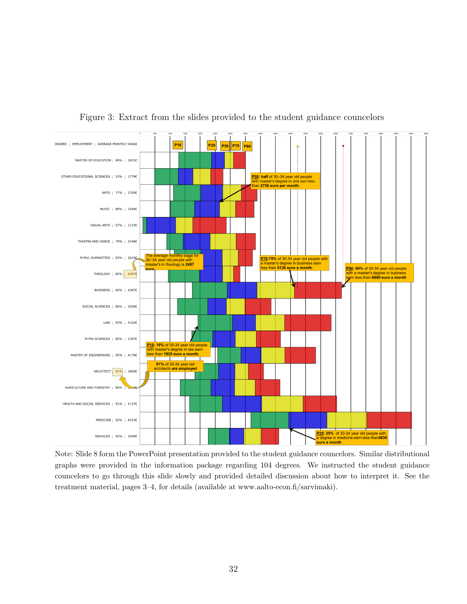

Figure 3: Extract from the slides provided to the student guidance councelors

Note: Slide 8 form the PowerPoint presentation provided to the student guidance councelors. Similar distributional graphs were provided in the information package regarding 104 degrees. We instructed the student guidance councelors to go through this slide slowly and provided detailed discussion about how to interpret it. See the treatment material, pages 3–4, for details (available at www.aalto-econ.fi/sarvimaki).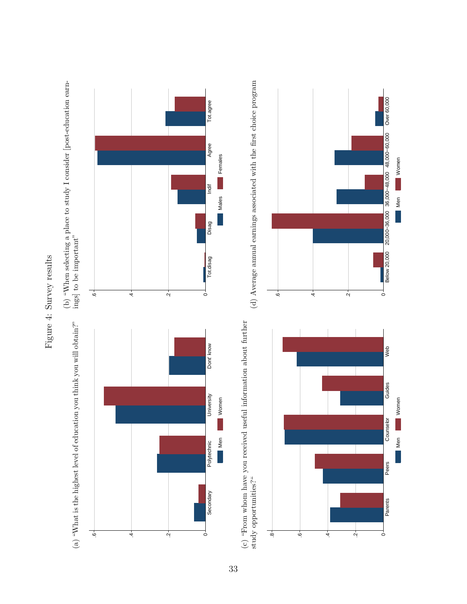Figure 4: Survey results Figure 4: Survey results



(c) "From whom have you received useful information about further study opportunities?" (c) "From whom have you received useful information about further study opportunities?"

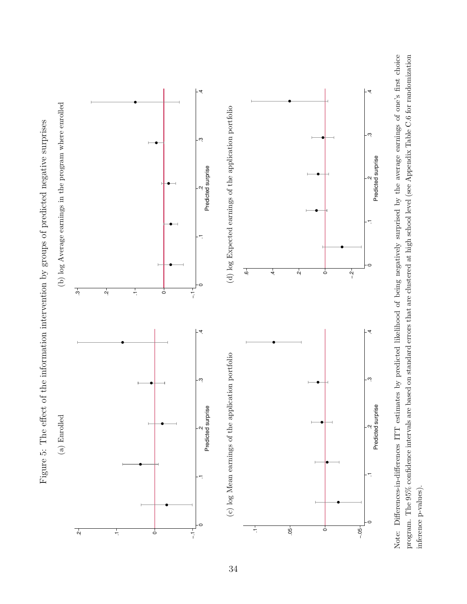

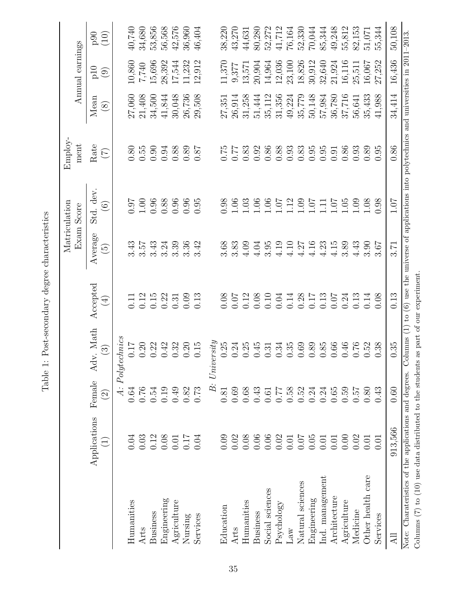|                                                                                                                                                                                                                                                          |                 |                    |                          |                  |                        | $\operatorname{Matriculation}$<br>Exam Score | Employ-<br>ment |             | Annual earnings |        |
|----------------------------------------------------------------------------------------------------------------------------------------------------------------------------------------------------------------------------------------------------------|-----------------|--------------------|--------------------------|------------------|------------------------|----------------------------------------------|-----------------|-------------|-----------------|--------|
|                                                                                                                                                                                                                                                          | Applications    | Female             | Adv. Math                | $\rm_{Accepted}$ | Average                | Std. dev.                                    | Rate            | Mean        | $\rm p10$       | p90    |
|                                                                                                                                                                                                                                                          | $\widehat{\Xi}$ | $\widehat{\Omega}$ | $\widehat{\mathfrak{S}}$ | $\bigoplus$      | $\widehat{\mathbf{E}}$ | $\widehat{\circ}$                            | $(\zeta)$       | $\circledS$ | $\odot$         | (10)   |
|                                                                                                                                                                                                                                                          |                 | A: Polyte          | chnes                    |                  |                        |                                              |                 |             |                 |        |
| Humanities                                                                                                                                                                                                                                               | 0.04            | 0.64               | $0.17\,$                 | 0.11             | 3.43                   | 16.0                                         | $0.80\,$        | 27,060      | 10,860          | 40,740 |
| Arts                                                                                                                                                                                                                                                     | 0.03            | 0.76               | 0.20                     | 0.12             | 3.57                   | 1.00                                         | 0.55            | 21,408      | 072'2           | 34,680 |
| Business                                                                                                                                                                                                                                                 | 0.12            | 0.54               | 0.22                     | 0.15             | 3.43                   | 0.96                                         | 0.90            | 34,500      | 15,696          | 53,856 |
| Engineering                                                                                                                                                                                                                                              | 0.08            | 0.19               | 0.42                     | 0.22             | 3.24                   | 0.88                                         | 0.94            | 41,844      | 28,392          | 56,568 |
| Agriculture                                                                                                                                                                                                                                              | 0.01            | 0.49               | 0.32                     | 0.31             | 3.39                   | 0.96                                         | 0.88            | 30,048      | 17,544          | 42,576 |
| Nursing                                                                                                                                                                                                                                                  | 0.17            | 0.82               | 0.20                     | 0.09             | 3.36                   | 0.96                                         | 0.89            | 26,736      | 11,232          | 36,960 |
| Services                                                                                                                                                                                                                                                 | 0.04            | 0.73               | 0.15                     | 0.13             | 3.42                   | 0.95                                         | $78.0\,$        | 29,508      | 12,912          | 46,404 |
|                                                                                                                                                                                                                                                          |                 | $\dot{B}$ .        | University               |                  |                        |                                              |                 |             |                 |        |
| Education                                                                                                                                                                                                                                                | 0.09            | 0.81               | 0.25                     | 0.08             | 3.68                   | 0.98                                         | 0.75            | 27,351      | 11,370          | 38,220 |
| Arts                                                                                                                                                                                                                                                     | 0.02            | 0.69               | 0.24                     | 0.07             | 3.83                   | 1.06                                         | 77              | $26,\!914$  | 9,377           | 43,270 |
| Humanities                                                                                                                                                                                                                                               | 0.08            | 0.68               | 0.25                     | 0.12             | 4.09                   | 1.03                                         | 0.83            | 31,258      | 13,571          | 44,631 |
| Business                                                                                                                                                                                                                                                 | 0.06            | 0.43               | 0.45                     | 0.08             | 4.04                   | 1.06                                         | 0.92            | 51,444      | 20,904          | 80,280 |
| Social sciences                                                                                                                                                                                                                                          | 0.06            | 0.61               | 0.31                     | 0.10             | 3.95                   | 1.06                                         | 0.86            | 35,112      | 14,964          | 52,272 |
| Psychology                                                                                                                                                                                                                                               | 0.02            | $0.77\,$           | 0.34                     | 0.04             | 4.19                   | 1.07                                         | 0.88            | 31,356      | 12,036          | 41,712 |
| Law                                                                                                                                                                                                                                                      | 0.01            | 0.58               | 0.35                     |                  | $4.10$                 | 1.12                                         | 0.93            | 49,224      | 23,100          | 76,164 |
| Natural sciences                                                                                                                                                                                                                                         | <b>10.07</b>    | 0.52               | 0.69                     | $0.14$<br>$0.28$ | 4.27                   | 1.09                                         | 0.83            | 35,779      | 18,826          | 52,330 |
| Engineering                                                                                                                                                                                                                                              | $0.05\,$        | 0.24               | 0.89                     | 0.17             | 4.16                   | 1.07                                         | 0.95            | 50,148      | 30,912          | 70,044 |
| Ind. management                                                                                                                                                                                                                                          | 0.01            | 0.24               | 0.85                     | 0.13             | 4.23                   | 1.11                                         | 0.95            | 57,984      | 32,640          | 85,344 |
| Architecture                                                                                                                                                                                                                                             | 0.01            | 0.65               | 0.66                     | 0.07             | 4.15                   | 1.07                                         | 0.91            | 36,780      | 21,924          | 49,248 |
| Agriculture                                                                                                                                                                                                                                              | 0.00            | 0.59               | 0.46                     | 0.24             | 3.89                   | 1.05                                         | 0.86            | 37,716      | 16,116          | 55,812 |
| Medicine                                                                                                                                                                                                                                                 | 0.02            | 0.57               | 0.76                     | 0.13             | 4.43                   | 1.09                                         | 0.93            | 56,641      | 25,511          | 82,153 |
| Other health care                                                                                                                                                                                                                                        | 0.01            | 0.80               | 0.52                     | 0.14             | 3.90                   | $1.08\,$                                     | 0.89            | 35,433      | 16,067          | 51,071 |
| Services                                                                                                                                                                                                                                                 | 0.01            | 0.43               | 0.38                     | 0.08             | 3.67                   | 0.98                                         | 0.95            | 41,988      | 27,252          | 55,344 |
| Ę                                                                                                                                                                                                                                                        | 913,566         | 0.60               | 0.35                     | 0.13             | 3.71                   | 1.07                                         | 0.86            | 34,414      | 16,436          | 50,108 |
| Note: Charateristics of the applications and degrees. Columns $(1)$ to $(6)$ use the universe of applications into polytechnics and universities in 2011-2013<br>Columns $(7)$ to $(10)$ use data distributed to the students as part of our experiment. |                 |                    |                          |                  |                        |                                              |                 |             |                 |        |

Table 1: Post-secondary degree characteristics Table 1: Post-secondary degree characteristics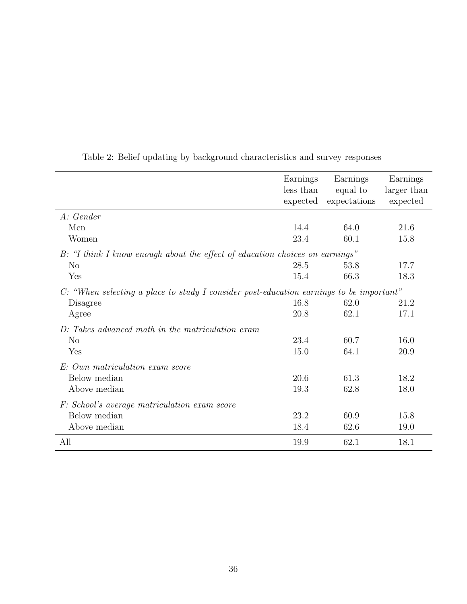|                                                                                         | Earnings<br>less than<br>expected | Earnings<br>equal to<br>expectations | Earnings<br>larger than<br>expected |
|-----------------------------------------------------------------------------------------|-----------------------------------|--------------------------------------|-------------------------------------|
| A: Gender                                                                               |                                   |                                      |                                     |
| Men                                                                                     | 14.4                              | 64.0                                 | 21.6                                |
| Women                                                                                   | 23.4                              | 60.1                                 | 15.8                                |
| B: "I think I know enough about the effect of education choices on earnings"            |                                   |                                      |                                     |
| $\rm No$                                                                                | 28.5                              | 53.8                                 | 17.7                                |
| Yes                                                                                     | 15.4                              | 66.3                                 | 18.3                                |
| C: "When selecting a place to study I consider post-education earnings to be important" |                                   |                                      |                                     |
| Disagree                                                                                | 16.8                              | 62.0                                 | 21.2                                |
| Agree                                                                                   | 20.8                              | 62.1                                 | 17.1                                |
| D: Takes advanced math in the matriculation exam                                        |                                   |                                      |                                     |
| N <sub>o</sub>                                                                          | 23.4                              | 60.7                                 | 16.0                                |
| Yes                                                                                     | 15.0                              | 64.1                                 | 20.9                                |
| E: Own matriculation exam score                                                         |                                   |                                      |                                     |
| Below median                                                                            | 20.6                              | 61.3                                 | 18.2                                |
| Above median                                                                            | 19.3                              | 62.8                                 | 18.0                                |
| <i>F:</i> School's average matriculation exam score                                     |                                   |                                      |                                     |
| Below median                                                                            | 23.2                              | 60.9                                 | 15.8                                |
| Above median                                                                            | 18.4                              | 62.6                                 | 19.0                                |
| All                                                                                     | 19.9                              | 62.1                                 | 18.1                                |

Table 2: Belief updating by background characteristics and survey responses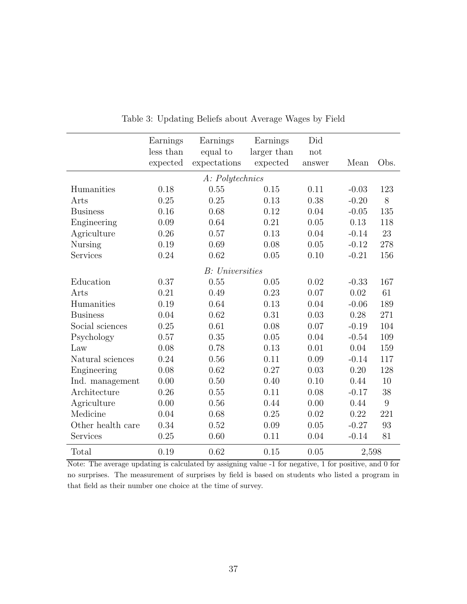|                   | Earnings  | Earnings                | Earnings    | Did    |         |                  |
|-------------------|-----------|-------------------------|-------------|--------|---------|------------------|
|                   | less than | equal to                | larger than | not    |         |                  |
|                   | expected  | expectations            | expected    | answer | Mean    | Obs.             |
|                   |           | A: Polytechnics         |             |        |         |                  |
| Humanities        | 0.18      | 0.55                    | 0.15        | 0.11   | $-0.03$ | 123              |
| Arts              | 0.25      | 0.25                    | 0.13        | 0.38   | $-0.20$ | 8                |
| <b>Business</b>   | 0.16      | 0.68                    | 0.12        | 0.04   | $-0.05$ | 135              |
| Engineering       | 0.09      | 0.64                    | 0.21        | 0.05   | 0.13    | 118              |
| Agriculture       | 0.26      | 0.57                    | 0.13        | 0.04   | $-0.14$ | 23               |
| Nursing           | 0.19      | 0.69                    | 0.08        | 0.05   | $-0.12$ | 278              |
| Services          | 0.24      | 0.62                    | 0.05        | 0.10   | $-0.21$ | 156              |
|                   |           | <b>B</b> : Universities |             |        |         |                  |
| Education         | 0.37      | 0.55                    | 0.05        | 0.02   | $-0.33$ | 167              |
| Arts              | 0.21      | 0.49                    | 0.23        | 0.07   | 0.02    | 61               |
| Humanities        | 0.19      | 0.64                    | 0.13        | 0.04   | $-0.06$ | 189              |
| <b>Business</b>   | 0.04      | 0.62                    | 0.31        | 0.03   | 0.28    | 271              |
| Social sciences   | 0.25      | 0.61                    | 0.08        | 0.07   | $-0.19$ | 104              |
| Psychology        | 0.57      | 0.35                    | 0.05        | 0.04   | $-0.54$ | 109              |
| Law               | 0.08      | 0.78                    | 0.13        | 0.01   | 0.04    | 159              |
| Natural sciences  | 0.24      | 0.56                    | 0.11        | 0.09   | $-0.14$ | 117              |
| Engineering       | 0.08      | 0.62                    | 0.27        | 0.03   | 0.20    | 128              |
| Ind. management   | 0.00      | 0.50                    | 0.40        | 0.10   | 0.44    | 10               |
| Architecture      | 0.26      | 0.55                    | 0.11        | 0.08   | $-0.17$ | 38               |
| Agriculture       | 0.00      | 0.56                    | 0.44        | 0.00   | 0.44    | $\boldsymbol{9}$ |
| Medicine          | 0.04      | 0.68                    | 0.25        | 0.02   | 0.22    | 221              |
| Other health care | 0.34      | 0.52                    | 0.09        | 0.05   | $-0.27$ | 93               |
| Services          | 0.25      | 0.60                    | 0.11        | 0.04   | $-0.14$ | 81               |
| Total             | 0.19      | 0.62                    | 0.15        | 0.05   | 2,598   |                  |

Table 3: Updating Beliefs about Average Wages by Field

Note: The average updating is calculated by assigning value -1 for negative, 1 for positive, and 0 for no surprises. The measurement of surprises by field is based on students who listed a program in that field as their number one choice at the time of survey.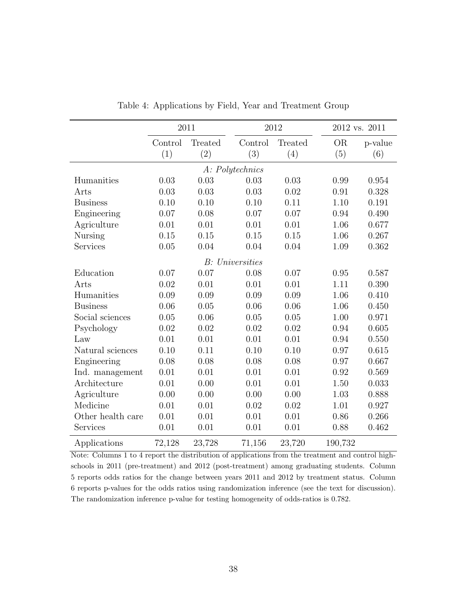|                   |         | $2011\,$ | 2012                    |         | 2012 vs. 2011 |         |
|-------------------|---------|----------|-------------------------|---------|---------------|---------|
|                   | Control | Treated  | Control                 | Treated | <b>OR</b>     | p-value |
|                   | (1)     | (2)      | (3)                     | (4)     | (5)           | (6)     |
|                   |         |          | A: Polytechnics         |         |               |         |
| Humanities        | 0.03    | 0.03     | 0.03                    | 0.03    | 0.99          | 0.954   |
| Arts              | 0.03    | 0.03     | 0.03                    | 0.02    | 0.91          | 0.328   |
| <b>Business</b>   | 0.10    | 0.10     | 0.10                    | 0.11    | 1.10          | 0.191   |
| Engineering       | 0.07    | 0.08     | 0.07                    | 0.07    | 0.94          | 0.490   |
| Agriculture       | 0.01    | 0.01     | 0.01                    | 0.01    | 1.06          | 0.677   |
| Nursing           | 0.15    | 0.15     | 0.15                    | 0.15    | 1.06          | 0.267   |
| Services          | 0.05    | 0.04     | 0.04                    | 0.04    | 1.09          | 0.362   |
|                   |         |          | <b>B</b> : Universities |         |               |         |
| Education         | 0.07    | 0.07     | 0.08                    | 0.07    | 0.95          | 0.587   |
| Arts              | 0.02    | 0.01     | 0.01                    | 0.01    | 1.11          | 0.390   |
| Humanities        | 0.09    | 0.09     | 0.09                    | 0.09    | 1.06          | 0.410   |
| <b>Business</b>   | 0.06    | 0.05     | 0.06                    | 0.06    | 1.06          | 0.450   |
| Social sciences   | 0.05    | 0.06     | 0.05                    | 0.05    | 1.00          | 0.971   |
| Psychology        | 0.02    | 0.02     | 0.02                    | 0.02    | 0.94          | 0.605   |
| Law               | 0.01    | 0.01     | 0.01                    | 0.01    | 0.94          | 0.550   |
| Natural sciences  | 0.10    | 0.11     | 0.10                    | 0.10    | 0.97          | 0.615   |
| Engineering       | 0.08    | 0.08     | 0.08                    | 0.08    | 0.97          | 0.667   |
| Ind. management   | 0.01    | 0.01     | 0.01                    | 0.01    | 0.92          | 0.569   |
| Architecture      | 0.01    | 0.00     | 0.01                    | 0.01    | 1.50          | 0.033   |
| Agriculture       | 0.00    | 0.00     | 0.00                    | 0.00    | 1.03          | 0.888   |
| Medicine          | 0.01    | 0.01     | 0.02                    | 0.02    | 1.01          | 0.927   |
| Other health care | 0.01    | 0.01     | 0.01                    | 0.01    | 0.86          | 0.266   |
| Services          | 0.01    | 0.01     | 0.01                    | 0.01    | 0.88          | 0.462   |
| Applications      | 72,128  | 23,728   | 71,156                  | 23,720  | 190,732       |         |

Table 4: Applications by Field, Year and Treatment Group

Note: Columns 1 to 4 report the distribution of applications from the treatment and control highschools in 2011 (pre-treatment) and 2012 (post-treatment) among graduating students. Column 5 reports odds ratios for the change between years 2011 and 2012 by treatment status. Column 6 reports p-values for the odds ratios using randomization inference (see the text for discussion). The randomization inference p-value for testing homogeneity of odds-ratios is 0.782.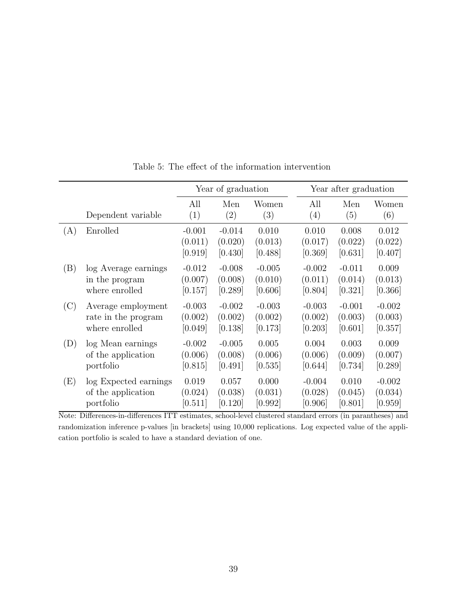|     |                       |                                | Year of graduation               |                             |                             | Year after graduation       |                             |
|-----|-----------------------|--------------------------------|----------------------------------|-----------------------------|-----------------------------|-----------------------------|-----------------------------|
|     | Dependent variable    | All<br>(1)                     | Men<br>(2)                       | Women<br>(3)                | All<br>(4)                  | Men<br>(5)                  | Women<br>(6)                |
| (A) | Enrolled              | $-0.001$<br>(0.011)<br>[0.919] | $-0.014$<br>(0.020)<br>$[0.430]$ | 0.010<br>(0.013)<br>[0.488] | 0.010<br>(0.017)<br>[0.369] | 0.008<br>(0.022)<br>[0.631] | 0.012<br>(0.022)<br>[0.407] |
| (B) | log Average earnings  | $-0.012$                       | $-0.008$                         | $-0.005$                    | $-0.002$                    | $-0.011$                    | 0.009                       |
|     | in the program        | (0.007)                        | (0.008)                          | (0.010)                     | (0.011)                     | (0.014)                     | (0.013)                     |
|     | where enrolled        | [0.157]                        | [0.289]                          | [0.606]                     | [0.804]                     | [0.321]                     | [0.366]                     |
| (C) | Average employment    | $-0.003$                       | $-0.002$                         | $-0.003$                    | $-0.003$                    | $-0.001$                    | $-0.002$                    |
|     | rate in the program   | (0.002)                        | (0.002)                          | (0.002)                     | (0.002)                     | (0.003)                     | (0.003)                     |
|     | where enrolled        | [0.049]                        | [0.138]                          | [0.173]                     | [0.203]                     | [0.601]                     | [0.357]                     |
| (D) | log Mean earnings     | $-0.002$                       | $-0.005$                         | 0.005                       | 0.004                       | 0.003                       | 0.009                       |
|     | of the application    | (0.006)                        | (0.008)                          | (0.006)                     | (0.006)                     | (0.009)                     | (0.007)                     |
|     | portfolio             | [0.815]                        | [0.491]                          | [0.535]                     | [0.644]                     | [0.734]                     | [0.289]                     |
| (E) | log Expected earnings | 0.019                          | 0.057                            | 0.000                       | $-0.004$                    | 0.010                       | $-0.002$                    |
|     | of the application    | (0.024)                        | (0.038)                          | (0.031)                     | (0.028)                     | (0.045)                     | (0.034)                     |
|     | portfolio             | [0.511]                        | [0.120]                          | [0.992]                     | [0.906]                     | [0.801]                     | [0.959]                     |

Table 5: The effect of the information intervention

Note: Differences-in-differences ITT estimates, school-level clustered standard errors (in parantheses) and randomization inference p-values [in brackets] using 10,000 replications. Log expected value of the application portfolio is scaled to have a standard deviation of one.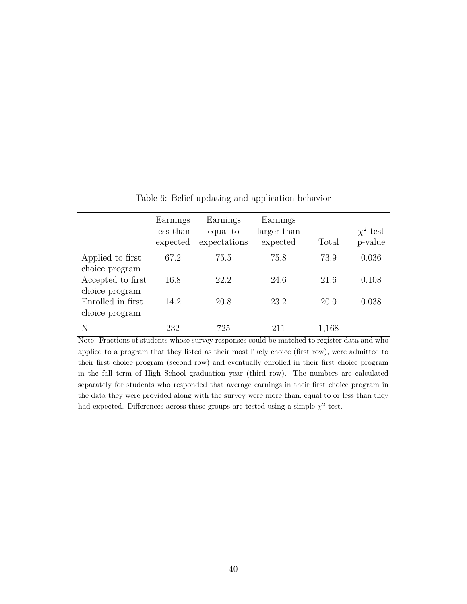|                                                       | Earnings<br>less than<br>expected | Earnings<br>equal to<br>expectations | Earnings<br>larger than<br>expected | Total | $\chi^2$ -test<br>p-value |
|-------------------------------------------------------|-----------------------------------|--------------------------------------|-------------------------------------|-------|---------------------------|
| Applied to first                                      | 67.2                              | 75.5                                 | 75.8                                | 73.9  | 0.036                     |
| choice program<br>Accepted to first<br>choice program | 16.8                              | 22.2                                 | 24.6                                | 21.6  | 0.108                     |
| Enrolled in first<br>choice program                   | 14.2                              | 20.8                                 | 23.2                                | 20.0  | 0.038                     |
| N                                                     | 232                               | 725                                  | 211                                 | 1,168 |                           |

Table 6: Belief updating and application behavior

Note: Fractions of students whose survey responses could be matched to register data and who applied to a program that they listed as their most likely choice (first row), were admitted to their first choice program (second row) and eventually enrolled in their first choice program in the fall term of High School graduation year (third row). The numbers are calculated separately for students who responded that average earnings in their first choice program in the data they were provided along with the survey were more than, equal to or less than they had expected. Differences across these groups are tested using a simple  $\chi^2$ -test.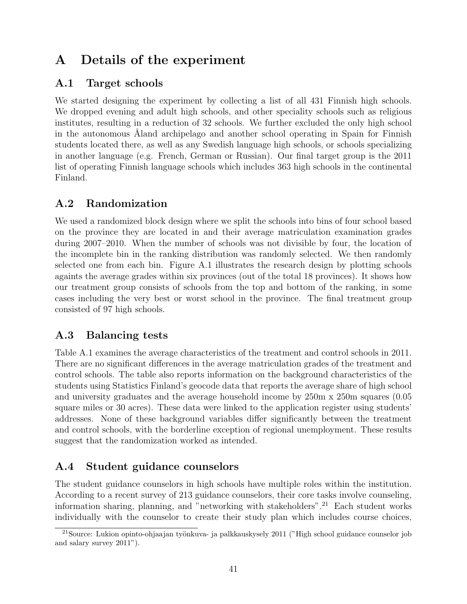# A Details of the experiment

#### A.1 Target schools

We started designing the experiment by collecting a list of all 431 Finnish high schools. We dropped evening and adult high schools, and other speciality schools such as religious institutes, resulting in a reduction of 32 schools. We further excluded the only high school in the autonomous Åland archipelago and another school operating in Spain for Finnish students located there, as well as any Swedish language high schools, or schools specializing in another language (e.g. French, German or Russian). Our final target group is the 2011 list of operating Finnish language schools which includes 363 high schools in the continental Finland.

#### A.2 Randomization

We used a randomized block design where we split the schools into bins of four school based on the province they are located in and their average matriculation examination grades during 2007–2010. When the number of schools was not divisible by four, the location of the incomplete bin in the ranking distribution was randomly selected. We then randomly selected one from each bin. Figure A.1 illustrates the research design by plotting schools againts the average grades within six provinces (out of the total 18 provinces). It shows how our treatment group consists of schools from the top and bottom of the ranking, in some cases including the very best or worst school in the province. The final treatment group consisted of 97 high schools.

#### A.3 Balancing tests

Table A.1 examines the average characteristics of the treatment and control schools in 2011. There are no significant differences in the average matriculation grades of the treatment and control schools. The table also reports information on the background characteristics of the students using Statistics Finland's geocode data that reports the average share of high school and university graduates and the average household income by 250m x 250m squares (0.05 square miles or 30 acres). These data were linked to the application register using students' addresses. None of these background variables differ significantly between the treatment and control schools, with the borderline exception of regional unemployment. These results suggest that the randomization worked as intended.

## A.4 Student guidance counselors

The student guidance counselors in high schools have multiple roles within the institution. According to a recent survey of 213 guidance counselors, their core tasks involve counseling, information sharing, planning, and "networking with stakeholders".<sup>21</sup> Each student works individually with the counselor to create their study plan which includes course choices,

 $21$ Source: Lukion opinto-ohjaajan työnkuva- ja palkkauskysely  $2011$  ("High school guidance counselor job and salary survey 2011").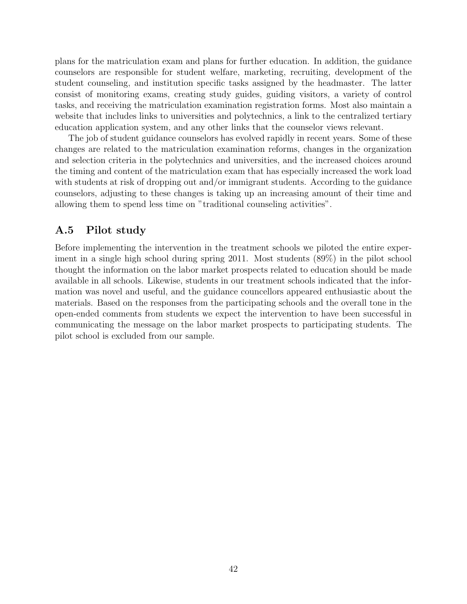plans for the matriculation exam and plans for further education. In addition, the guidance counselors are responsible for student welfare, marketing, recruiting, development of the student counseling, and institution specific tasks assigned by the headmaster. The latter consist of monitoring exams, creating study guides, guiding visitors, a variety of control tasks, and receiving the matriculation examination registration forms. Most also maintain a website that includes links to universities and polytechnics, a link to the centralized tertiary education application system, and any other links that the counselor views relevant.

The job of student guidance counselors has evolved rapidly in recent years. Some of these changes are related to the matriculation examination reforms, changes in the organization and selection criteria in the polytechnics and universities, and the increased choices around the timing and content of the matriculation exam that has especially increased the work load with students at risk of dropping out and/or immigrant students. According to the guidance counselors, adjusting to these changes is taking up an increasing amount of their time and allowing them to spend less time on "traditional counseling activities".

#### A.5 Pilot study

Before implementing the intervention in the treatment schools we piloted the entire experiment in a single high school during spring 2011. Most students (89%) in the pilot school thought the information on the labor market prospects related to education should be made available in all schools. Likewise, students in our treatment schools indicated that the information was novel and useful, and the guidance councellors appeared enthusiastic about the materials. Based on the responses from the participating schools and the overall tone in the open-ended comments from students we expect the intervention to have been successful in communicating the message on the labor market prospects to participating students. The pilot school is excluded from our sample.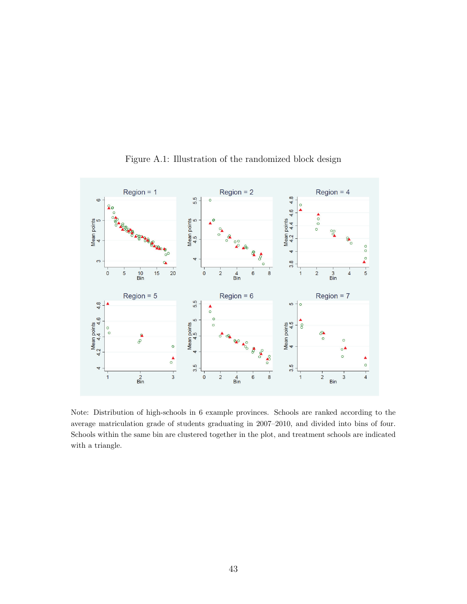

Figure A.1: Illustration of the randomized block design

Note: Distribution of high-schools in 6 example provinces. Schools are ranked according to the average matriculation grade of students graduating in 2007–2010, and divided into bins of four. Schools within the same bin are clustered together in the plot, and treatment schools are indicated with a triangle.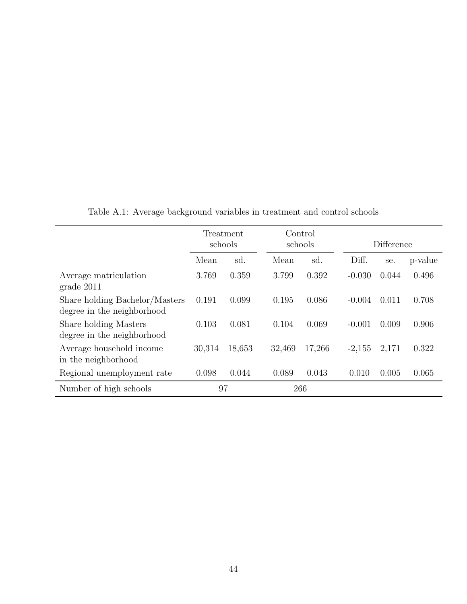|                                                              |        | Treatment<br>schools |        | Control<br>schools |          | Difference |         |
|--------------------------------------------------------------|--------|----------------------|--------|--------------------|----------|------------|---------|
|                                                              | Mean   | sd.                  | Mean   | sd.                | Diff.    | se.        | p-value |
| Average matriculation<br>grade 2011                          | 3.769  | 0.359                | 3.799  | 0.392              | $-0.030$ | 0.044      | 0.496   |
| Share holding Bachelor/Masters<br>degree in the neighborhood | 0.191  | 0.099                | 0.195  | 0.086              | $-0.004$ | 0.011      | 0.708   |
| Share holding Masters<br>degree in the neighborhood          | 0.103  | 0.081                | 0.104  | 0.069              | $-0.001$ | 0.009      | 0.906   |
| Average household income<br>in the neighborhood              | 30,314 | 18,653               | 32,469 | 17,266             | $-2,155$ | 2,171      | 0.322   |
| Regional unemployment rate                                   | 0.098  | 0.044                | 0.089  | 0.043              | 0.010    | 0.005      | 0.065   |
| Number of high schools                                       |        | 97                   |        | 266                |          |            |         |

Table A.1: Average background variables in treatment and control schools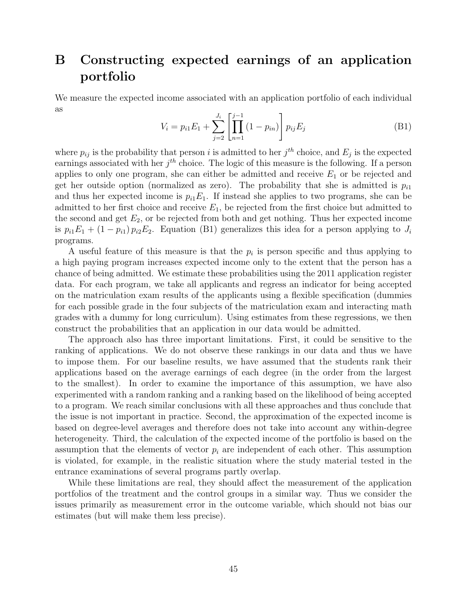# B Constructing expected earnings of an application portfolio

We measure the expected income associated with an application portfolio of each individual as

$$
V_i = p_{i1}E_1 + \sum_{j=2}^{J_i} \left[ \prod_{n=1}^{j-1} (1 - p_{in}) \right] p_{ij}E_j
$$
 (B1)

where  $p_{ij}$  is the probability that person i is admitted to her  $j^{th}$  choice, and  $E_j$  is the expected earnings associated with her  $j<sup>th</sup>$  choice. The logic of this measure is the following. If a person applies to only one program, she can either be admitted and receive  $E_1$  or be rejected and get her outside option (normalized as zero). The probability that she is admitted is  $p_{i1}$ and thus her expected income is  $p_{i1}E_1$ . If instead she applies to two programs, she can be admitted to her first choice and receive  $E_1$ , be rejected from the first choice but admitted to the second and get  $E_2$ , or be rejected from both and get nothing. Thus her expected income is  $p_{i1}E_1 + (1 - p_{i1})p_{i2}E_2$ . Equation (B1) generalizes this idea for a person applying to  $J_i$ programs.

A useful feature of this measure is that the  $p_i$  is person specific and thus applying to a high paying program increases expected income only to the extent that the person has a chance of being admitted. We estimate these probabilities using the 2011 application register data. For each program, we take all applicants and regress an indicator for being accepted on the matriculation exam results of the applicants using a flexible specification (dummies for each possible grade in the four subjects of the matriculation exam and interacting math grades with a dummy for long curriculum). Using estimates from these regressions, we then construct the probabilities that an application in our data would be admitted.

The approach also has three important limitations. First, it could be sensitive to the ranking of applications. We do not observe these rankings in our data and thus we have to impose them. For our baseline results, we have assumed that the students rank their applications based on the average earnings of each degree (in the order from the largest to the smallest). In order to examine the importance of this assumption, we have also experimented with a random ranking and a ranking based on the likelihood of being accepted to a program. We reach similar conclusions with all these approaches and thus conclude that the issue is not important in practice. Second, the approximation of the expected income is based on degree-level averages and therefore does not take into account any within-degree heterogeneity. Third, the calculation of the expected income of the portfolio is based on the assumption that the elements of vector  $p_i$  are independent of each other. This assumption is violated, for example, in the realistic situation where the study material tested in the entrance examinations of several programs partly overlap.

While these limitations are real, they should affect the measurement of the application portfolios of the treatment and the control groups in a similar way. Thus we consider the issues primarily as measurement error in the outcome variable, which should not bias our estimates (but will make them less precise).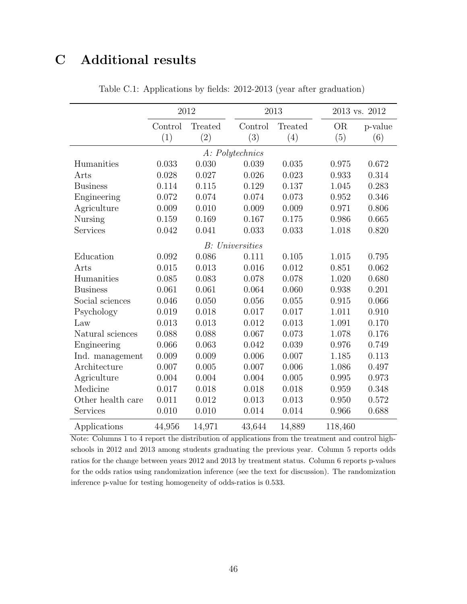# C Additional results

|                   |         | 2012    |                         | 2013    |           | 2013 vs. 2012 |  |
|-------------------|---------|---------|-------------------------|---------|-----------|---------------|--|
|                   | Control | Treated | Control                 | Treated | <b>OR</b> | p-value       |  |
|                   | (1)     | (2)     | (3)                     | (4)     | (5)       | (6)           |  |
|                   |         |         | A: Polytechnics         |         |           |               |  |
| Humanities        | 0.033   | 0.030   | 0.039                   | 0.035   | 0.975     | 0.672         |  |
| Arts              | 0.028   | 0.027   | 0.026                   | 0.023   | 0.933     | 0.314         |  |
| <b>Business</b>   | 0.114   | 0.115   | 0.129                   | 0.137   | 1.045     | 0.283         |  |
| Engineering       | 0.072   | 0.074   | 0.074                   | 0.073   | 0.952     | 0.346         |  |
| Agriculture       | 0.009   | 0.010   | 0.009                   | 0.009   | 0.971     | 0.806         |  |
| Nursing           | 0.159   | 0.169   | 0.167                   | 0.175   | 0.986     | 0.665         |  |
| Services          | 0.042   | 0.041   | 0.033                   | 0.033   | 1.018     | 0.820         |  |
|                   |         |         | <b>B</b> : Universities |         |           |               |  |
| Education         | 0.092   | 0.086   | 0.111                   | 0.105   | 1.015     | 0.795         |  |
| Arts              | 0.015   | 0.013   | 0.016                   | 0.012   | 0.851     | 0.062         |  |
| Humanities        | 0.085   | 0.083   | 0.078                   | 0.078   | 1.020     | 0.680         |  |
| <b>Business</b>   | 0.061   | 0.061   | 0.064                   | 0.060   | 0.938     | 0.201         |  |
| Social sciences   | 0.046   | 0.050   | 0.056                   | 0.055   | 0.915     | 0.066         |  |
| Psychology        | 0.019   | 0.018   | 0.017                   | 0.017   | 1.011     | 0.910         |  |
| Law               | 0.013   | 0.013   | 0.012                   | 0.013   | 1.091     | 0.170         |  |
| Natural sciences  | 0.088   | 0.088   | 0.067                   | 0.073   | 1.078     | 0.176         |  |
| Engineering       | 0.066   | 0.063   | 0.042                   | 0.039   | 0.976     | 0.749         |  |
| Ind. management   | 0.009   | 0.009   | 0.006                   | 0.007   | 1.185     | 0.113         |  |
| Architecture      | 0.007   | 0.005   | 0.007                   | 0.006   | 1.086     | 0.497         |  |
| Agriculture       | 0.004   | 0.004   | 0.004                   | 0.005   | 0.995     | 0.973         |  |
| Medicine          | 0.017   | 0.018   | 0.018                   | 0.018   | 0.959     | 0.348         |  |
| Other health care | 0.011   | 0.012   | 0.013                   | 0.013   | 0.950     | 0.572         |  |
| Services          | 0.010   | 0.010   | 0.014                   | 0.014   | 0.966     | 0.688         |  |
| Applications      | 44,956  | 14,971  | 43,644                  | 14,889  | 118,460   |               |  |

Table C.1: Applications by fields: 2012-2013 (year after graduation)

Note: Columns 1 to 4 report the distribution of applications from the treatment and control highschools in 2012 and 2013 among students graduating the previous year. Column 5 reports odds ratios for the change between years 2012 and 2013 by treatment status. Column 6 reports p-values for the odds ratios using randomization inference (see the text for discussion). The randomization inference p-value for testing homogeneity of odds-ratios is 0.533.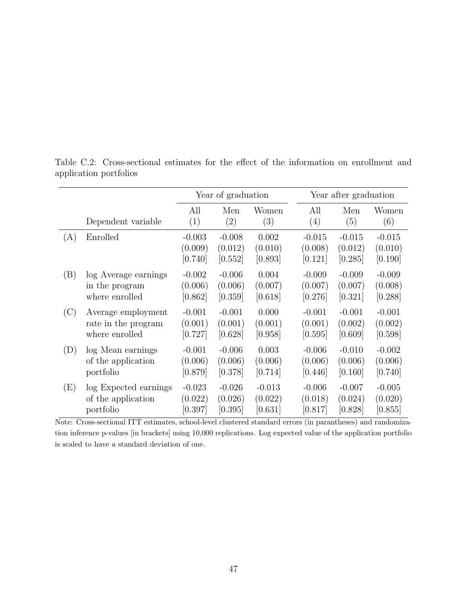|     |                       |                                | Year of graduation             |                             |                                | Year after graduation          |                                |
|-----|-----------------------|--------------------------------|--------------------------------|-----------------------------|--------------------------------|--------------------------------|--------------------------------|
|     | Dependent variable    | All<br>(1)                     | Men<br>(2)                     | Women<br>(3)                | All<br>(4)                     | Men<br>(5)                     | Women<br>(6)                   |
| (A) | Enrolled              | $-0.003$<br>(0.009)<br>[0.740] | $-0.008$<br>(0.012)<br>[0.552] | 0.002<br>(0.010)<br>[0.893] | $-0.015$<br>(0.008)<br>[0.121] | $-0.015$<br>(0.012)<br>[0.285] | $-0.015$<br>(0.010)<br>[0.190] |
| (B) | log Average earnings  | $-0.002$                       | $-0.006$                       | 0.004                       | $-0.009$                       | $-0.009$                       | $-0.009$                       |
|     | in the program        | (0.006)                        | (0.006)                        | (0.007)                     | (0.007)                        | (0.007)                        | (0.008)                        |
|     | where enrolled        | [0.862]                        | [0.359]                        | [0.618]                     | [0.276]                        | [0.321]                        | [0.288]                        |
| (C) | Average employment    | $-0.001$                       | $-0.001$                       | 0.000                       | $-0.001$                       | $-0.001$                       | $-0.001$                       |
|     | rate in the program   | (0.001)                        | (0.001)                        | (0.001)                     | (0.001)                        | (0.002)                        | (0.002)                        |
|     | where enrolled        | [0.727]                        | [0.628]                        | [0.958]                     | [0.595]                        | [0.609]                        | [0.598]                        |
| (D) | log Mean earnings     | $-0.001$                       | $-0.006$                       | 0.003                       | $-0.006$                       | $-0.010$                       | $-0.002$                       |
|     | of the application    | (0.006)                        | (0.006)                        | (0.006)                     | (0.006)                        | (0.006)                        | (0.006)                        |
|     | portfolio             | [0.879]                        | [0.378]                        | [0.714]                     | [0.446]                        | [0.160]                        | [0.740]                        |
| (E) | log Expected earnings | $-0.023$                       | $-0.026$                       | $-0.013$                    | $-0.006$                       | $-0.007$                       | $-0.005$                       |
|     | of the application    | (0.022)                        | (0.026)                        | (0.022)                     | (0.018)                        | (0.024)                        | (0.020)                        |
|     | portfolio             | [0.397]                        | [0.395]                        | [0.631]                     | [0.817]                        | [0.828]                        | [0.855]                        |

Table C.2: Cross-sectional estimates for the effect of the information on enrollment and application portfolios

Note: Cross-sectional ITT estimates, school-level clustered standard errors (in parantheses) and randomization inference p-values [in brackets] using 10,000 replications. Log expected value of the application portfolio is scaled to have a standard deviation of one.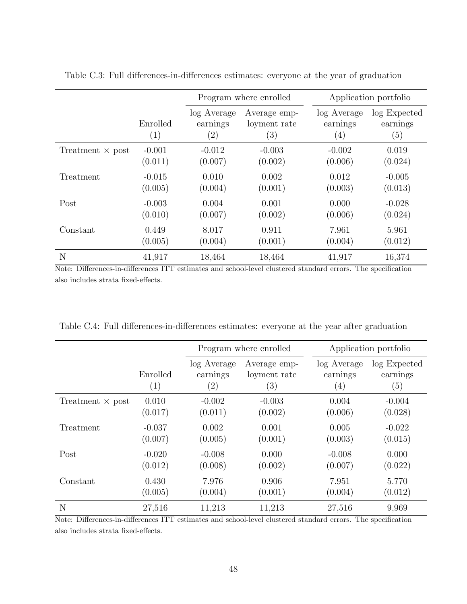|                         |                 |                                | Program where enrolled                            |                                | Application portfolio           |
|-------------------------|-----------------|--------------------------------|---------------------------------------------------|--------------------------------|---------------------------------|
|                         | Enrolled<br>(1) | log Average<br>earnings<br>(2) | Average emp-<br>loyment rate<br>$\left( 3\right)$ | log Average<br>earnings<br>(4) | log Expected<br>earnings<br>(5) |
| Treatment $\times$ post | $-0.001$        | $-0.012$                       | $-0.003$                                          | $-0.002$                       | 0.019                           |
|                         | (0.011)         | (0.007)                        | (0.002)                                           | (0.006)                        | (0.024)                         |
| Treatment               | $-0.015$        | 0.010                          | 0.002                                             | 0.012                          | $-0.005$                        |
|                         | (0.005)         | (0.004)                        | (0.001)                                           | (0.003)                        | (0.013)                         |
| Post                    | $-0.003$        | 0.004                          | 0.001                                             | 0.000                          | $-0.028$                        |
|                         | (0.010)         | (0.007)                        | (0.002)                                           | (0.006)                        | (0.024)                         |
| Constant                | 0.449           | 8.017                          | 0.911                                             | 7.961                          | 5.961                           |
|                         | (0.005)         | (0.004)                        | (0.001)                                           | (0.004)                        | (0.012)                         |
| N                       | 41,917          | 18,464                         | 18,464                                            | 41,917                         | 16,374                          |

Table C.3: Full differences-in-differences estimates: everyone at the year of graduation

Note: Differences-in-differences ITT estimates and school-level clustered standard errors. The specification also includes strata fixed-effects.

|                         |                               |                                              | Program where enrolled                            |                                | Application portfolio           |
|-------------------------|-------------------------------|----------------------------------------------|---------------------------------------------------|--------------------------------|---------------------------------|
|                         | Enrolled<br>$\left( 1\right)$ | log Average<br>earnings<br>$\left( 2\right)$ | Average emp-<br>loyment rate<br>$\left( 3\right)$ | log Average<br>earnings<br>(4) | log Expected<br>earnings<br>(5) |
| Treatment $\times$ post | 0.010                         | $-0.002$                                     | $-0.003$                                          | 0.004                          | $-0.004$                        |
|                         | (0.017)                       | (0.011)                                      | (0.002)                                           | (0.006)                        | (0.028)                         |
| Treatment               | $-0.037$                      | 0.002                                        | 0.001                                             | 0.005                          | $-0.022$                        |
|                         | (0.007)                       | (0.005)                                      | (0.001)                                           | (0.003)                        | (0.015)                         |
| Post                    | $-0.020$                      | $-0.008$                                     | 0.000                                             | $-0.008$                       | 0.000                           |
|                         | (0.012)                       | (0.008)                                      | (0.002)                                           | (0.007)                        | (0.022)                         |
| Constant                | 0.430                         | 7.976                                        | 0.906                                             | 7.951                          | 5.770                           |
|                         | (0.005)                       | (0.004)                                      | (0.001)                                           | (0.004)                        | (0.012)                         |
| N                       | 27,516                        | 11,213                                       | 11,213                                            | 27,516                         | 9,969                           |

Table C.4: Full differences-in-differences estimates: everyone at the year after graduation

Note: Differences-in-differences ITT estimates and school-level clustered standard errors. The specification also includes strata fixed-effects.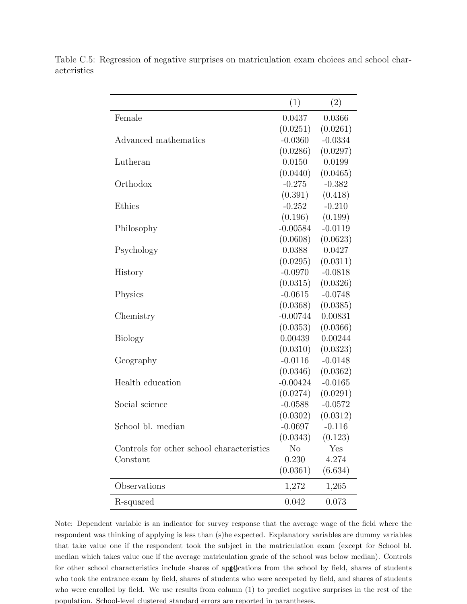|                                           | (1)            | (2)       |
|-------------------------------------------|----------------|-----------|
| Female                                    | 0.0437         | 0.0366    |
|                                           | (0.0251)       | (0.0261)  |
| Advanced mathematics                      | $-0.0360$      | $-0.0334$ |
|                                           | (0.0286)       | (0.0297)  |
| Lutheran                                  | 0.0150         | 0.0199    |
|                                           | (0.0440)       | (0.0465)  |
| Orthodox                                  | $-0.275$       | $-0.382$  |
|                                           | (0.391)        | (0.418)   |
| Ethics                                    | $-0.252$       | $-0.210$  |
|                                           | (0.196)        | (0.199)   |
| Philosophy                                | $-0.00584$     | $-0.0119$ |
|                                           | (0.0608)       | (0.0623)  |
| Psychology                                | 0.0388         | 0.0427    |
|                                           | (0.0295)       | (0.0311)  |
| History                                   | $-0.0970$      | $-0.0818$ |
|                                           | (0.0315)       | (0.0326)  |
| Physics                                   | $-0.0615$      | $-0.0748$ |
|                                           | (0.0368)       | (0.0385)  |
| Chemistry                                 | $-0.00744$     | 0.00831   |
|                                           | (0.0353)       | (0.0366)  |
| Biology                                   | 0.00439        | 0.00244   |
|                                           | (0.0310)       | (0.0323)  |
| Geography                                 | $-0.0116$      | $-0.0148$ |
|                                           | (0.0346)       | (0.0362)  |
| Health education                          | $-0.00424$     | $-0.0165$ |
|                                           | (0.0274)       | (0.0291)  |
| Social science                            | $-0.0588$      | $-0.0572$ |
|                                           | (0.0302)       | (0.0312)  |
| School bl. median                         | $-0.0697$      | $-0.116$  |
|                                           | (0.0343)       | (0.123)   |
| Controls for other school characteristics | N <sub>o</sub> | Yes       |
| $_{\rm Constant}$                         | 0.230          | 4.274     |
|                                           | (0.0361)       | (6.634)   |
| Observations                              | 1,272          | 1,265     |
| R-squared                                 | 0.042          | 0.073     |

Table C.5: Regression of negative surprises on matriculation exam choices and school characteristics

Note: Dependent variable is an indicator for survey response that the average wage of the field where the respondent was thinking of applying is less than (s)he expected. Explanatory variables are dummy variables that take value one if the respondent took the subject in the matriculation exam (except for School bl. median which takes value one if the average matriculation grade of the school was below median). Controls for other school characteristics include shares of applications from the school by field, shares of students who took the entrance exam by field, shares of students who were accepeted by field, and shares of students who were enrolled by field. We use results from column (1) to predict negative surprises in the rest of the population. School-level clustered standard errors are reported in parantheses.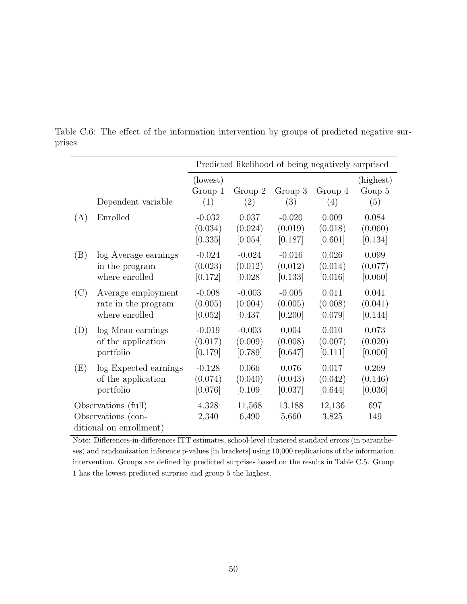|                                                                      |                       | Predicted likelihood of being negatively surprised |                             |                                |                             |                              |
|----------------------------------------------------------------------|-----------------------|----------------------------------------------------|-----------------------------|--------------------------------|-----------------------------|------------------------------|
|                                                                      | Dependent variable    | (lowest)<br>Group 1<br>(1)                         | Group 2<br>(2)              | Group 3<br>(3)                 | Group 4<br>(4)              | (highest)<br>Goup $5$<br>(5) |
| (A)                                                                  | Enrolled              | $-0.032$<br>(0.034)<br>[0.335]                     | 0.037<br>(0.024)<br>[0.054] | $-0.020$<br>(0.019)<br>[0.187] | 0.009<br>(0.018)<br>[0.601] | 0.084<br>(0.060)<br>[0.134]  |
| (B)                                                                  | log Average earnings  | $-0.024$                                           | $-0.024$                    | $-0.016$                       | 0.026                       | 0.099                        |
|                                                                      | in the program        | (0.023)                                            | (0.012)                     | (0.012)                        | (0.014)                     | (0.077)                      |
|                                                                      | where enrolled        | [0.172]                                            | [0.028]                     | [0.133]                        | [0.016]                     | [0.060]                      |
| (C)                                                                  | Average employment    | $-0.008$                                           | $-0.003$                    | $-0.005$                       | 0.011                       | 0.041                        |
|                                                                      | rate in the program   | (0.005)                                            | (0.004)                     | (0.005)                        | (0.008)                     | (0.041)                      |
|                                                                      | where enrolled        | [0.052]                                            | [0.437]                     | [0.200]                        | [0.079]                     | [0.144]                      |
| (D)                                                                  | log Mean earnings     | $-0.019$                                           | $-0.003$                    | 0.004                          | 0.010                       | 0.073                        |
|                                                                      | of the application    | (0.017)                                            | (0.009)                     | (0.008)                        | (0.007)                     | (0.020)                      |
|                                                                      | portfolio             | [0.179]                                            | [0.789]                     | [0.647]                        | [0.111]                     | [0.000]                      |
| (E)                                                                  | log Expected earnings | $-0.128$                                           | 0.066                       | 0.076                          | 0.017                       | 0.269                        |
|                                                                      | of the application    | (0.074)                                            | (0.040)                     | (0.043)                        | (0.042)                     | (0.146)                      |
|                                                                      | portfolio             | [0.076]                                            | [0.109]                     | [0.037]                        | [0.644]                     | [0.036]                      |
| Observations (full)<br>Observations (con-<br>ditional on enrollment) |                       | 4,328<br>2,340                                     | 11,568<br>6,490             | 13,188<br>5,660                | 12,136<br>3,825             | 697<br>149                   |

Table C.6: The effect of the information intervention by groups of predicted negative surprises

Note: Differences-in-differences ITT estimates, school-level clustered standard errors (in parantheses) and randomization inference p-values [in brackets] using 10,000 replications of the information intervention. Groups are defined by predicted surprises based on the results in Table C.5. Group 1 has the lowest predicted surprise and group 5 the highest.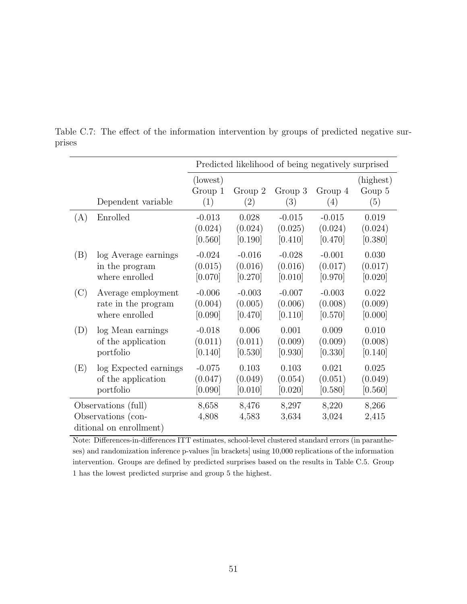|                                                                      |                       | Predicted likelihood of being negatively surprised |                             |                                |                                |                              |
|----------------------------------------------------------------------|-----------------------|----------------------------------------------------|-----------------------------|--------------------------------|--------------------------------|------------------------------|
|                                                                      | Dependent variable    | (lowest)<br>Group 1<br>(1)                         | Group 2<br>(2)              | Group 3<br>(3)                 | Group 4<br>(4)                 | (highest)<br>Goup $5$<br>(5) |
| (A)                                                                  | Enrolled              | $-0.013$<br>(0.024)<br>[0.560]                     | 0.028<br>(0.024)<br>[0.190] | $-0.015$<br>(0.025)<br>[0.410] | $-0.015$<br>(0.024)<br>[0.470] | 0.019<br>(0.024)<br>[0.380]  |
| (B)                                                                  | log Average earnings  | $-0.024$                                           | $-0.016$                    | $-0.028$                       | $-0.001$                       | 0.030                        |
|                                                                      | in the program        | (0.015)                                            | (0.016)                     | (0.016)                        | (0.017)                        | (0.017)                      |
|                                                                      | where enrolled        | [0.070]                                            | [0.270]                     | [0.010]                        | [0.970]                        | [0.020]                      |
| (C)                                                                  | Average employment    | $-0.006$                                           | $-0.003$                    | $-0.007$                       | $-0.003$                       | 0.022                        |
|                                                                      | rate in the program   | (0.004)                                            | (0.005)                     | (0.006)                        | (0.008)                        | (0.009)                      |
|                                                                      | where enrolled        | [0.090]                                            | [0.470]                     | [0.110]                        | [0.570]                        | [0.000]                      |
| (D)                                                                  | log Mean earnings     | $-0.018$                                           | 0.006                       | 0.001                          | 0.009                          | 0.010                        |
|                                                                      | of the application    | (0.011)                                            | (0.011)                     | (0.009)                        | (0.009)                        | (0.008)                      |
|                                                                      | portfolio             | [0.140]                                            | [0.530]                     | [0.930]                        | [0.330]                        | [0.140]                      |
| (E)                                                                  | log Expected earnings | $-0.075$                                           | 0.103                       | 0.103                          | 0.021                          | 0.025                        |
|                                                                      | of the application    | (0.047)                                            | (0.049)                     | (0.054)                        | (0.051)                        | (0.049)                      |
|                                                                      | portfolio             | [0.090]                                            | [0.010]                     | [0.020]                        | [0.580]                        | [0.560]                      |
| Observations (full)<br>Observations (con-<br>ditional on enrollment) |                       | 8,658<br>4,808                                     | 8,476<br>4,583              | 8,297<br>3,634                 | 8,220<br>3,024                 | 8,266<br>2,415               |

Table C.7: The effect of the information intervention by groups of predicted negative surprises

Note: Differences-in-differences ITT estimates, school-level clustered standard errors (in parantheses) and randomization inference p-values [in brackets] using 10,000 replications of the information intervention. Groups are defined by predicted surprises based on the results in Table C.5. Group 1 has the lowest predicted surprise and group 5 the highest.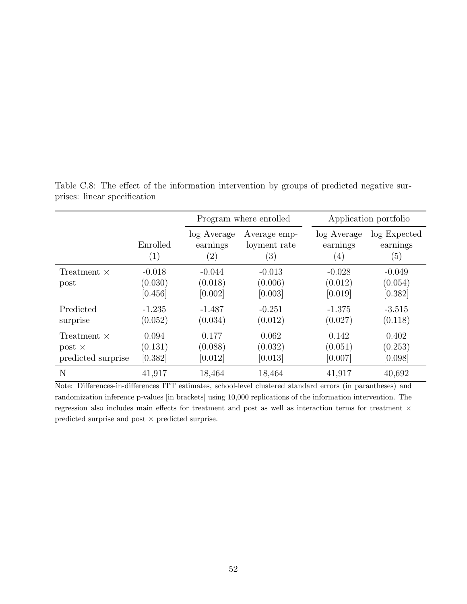|                                             |                                |                                              | Program where enrolled                            | Application portfolio          |                                 |  |
|---------------------------------------------|--------------------------------|----------------------------------------------|---------------------------------------------------|--------------------------------|---------------------------------|--|
|                                             | Enrolled<br>(1)                | log Average<br>earnings<br>$\left( 2\right)$ | Average emp-<br>loyment rate<br>$\left( 3\right)$ | log Average<br>earnings<br>(4) | log Expected<br>earnings<br>(5) |  |
| Treatment $\times$<br>post                  | $-0.018$<br>(0.030)<br>[0.456] | $-0.044$<br>(0.018)<br>[0.002]               | $-0.013$<br>(0.006)<br>[0.003]                    | $-0.028$<br>(0.012)<br>[0.019] | $-0.049$<br>(0.054)<br>[0.382]  |  |
| Predicted<br>surprise                       | $-1.235$<br>(0.052)            | $-1.487$<br>(0.034)                          | $-0.251$<br>(0.012)                               | $-1.375$<br>(0.027)            | $-3.515$<br>(0.118)             |  |
| Treatment ×<br>post ×<br>predicted surprise | 0.094<br>(0.131)<br>[0.382]    | 0.177<br>(0.088)<br>[0.012]                  | 0.062<br>(0.032)<br>[0.013]                       | 0.142<br>(0.051)<br>[0.007]    | 0.402<br>(0.253)<br>[0.098]     |  |
| N                                           | 41,917                         | 18,464                                       | 18,464                                            | 41,917                         | 40,692                          |  |

Table C.8: The effect of the information intervention by groups of predicted negative surprises: linear specification

Note: Differences-in-differences ITT estimates, school-level clustered standard errors (in parantheses) and randomization inference p-values [in brackets] using 10,000 replications of the information intervention. The regression also includes main effects for treatment and post as well as interaction terms for treatment  $\times$ predicted surprise and post  $\times$  predicted surprise.